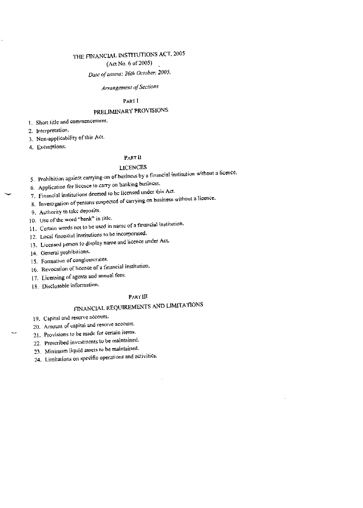# THE FINANCIAL INSTITUTIONS ACT, 2005

(Act No. 6 of 2005)

Date of assent: 26th October, 2005.

# Arrangement of Sections

## PART I

# PRELIMINARY PROVISIONS

1. Short title and commencement.

2. interpretation.

3. Non-applicability of this Act.

4. Exemptions.

# PART II

#### LICENCES

- 5. Prohibition against carrying-on of business by a financial institution without a licence.
- 6. Application for licence to carry on banking busiiicss.
- 7. Financial institutions deemed to helicensed under this Act.
- 8. Investigation of persons suspected of carrying on business without a licence.
- 9. Authority to take deposits.
- 10. Use of the word "bank" in title.
- 11. Certain words not to be used in namc of a financial institution.
- 12. Local financial institutions tobe incorporated.
- 13. Licensed person to display name and licence under Act.
- 14. General prohibitions.
- 15. Formation of conglomerates.
- 16. Revocation of licence of a financial institution.
- 17. Licensing of agents and annual fees.
- 18. Disclosable information.

# PART III

# FINANCIAL REQUIREMENTSAND LJMITAIIONS

19. Capital and reserve account.

- 20. Amount of capital and reserve account,
- 21. Provisions to be made for certain items.
- 22. Prescribed investments to be maintained.
- 23. Minimum liquid assets to he maintaiiied.
- 24. Limitations on specific operations and activities.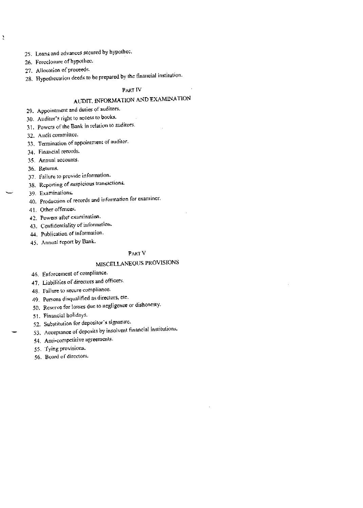- 25. Loans and advances secured by hypothec.
- 26. Foreclosure of hypotliec.

 $\lambda$ 

- 27. Allocation of proceeds.
- 28. Hypothecation deeds to be prepared by the financial institution.

# PART<sub>IV</sub>

# AUDIT, INFORMATION AND EXAMINATION

- 29. Appointment and duties of auditors.
- 30. Auditor's right to access to books.
- 31. Powers of the Bank in relation to auditors.
- 32. Audit committee.
- 33. Termination of appointment of auditor.
- 34. Financial records.
- 35. Annual accounts.
- 36. Returns.
- 37. Failure to provide information.
- 38. Reporting of suspicious transactions.
- 39. Examinations.
- 40. Production of records and information for examiner.
- 41. Other offenees.
- 42. Powers after examination.
- 43. Confidentiality of information.
- 44. Publication of information.
- 45. Annual report by Bank.

# PART V

# MISCELLANEOUS PROVISIONS

- 46. Enforcement of compliance.
- 47. Liabilities of directors and officers.
- 48. Failure to secure compliance.
- 49. Persons disqualified as directors, etc.
- 50. Reserve for losses due to negligence or dishonesty.
- 51. Financial holidays.
- 52. Substitution for depositor's signature.
- 53. Acceptance of deposits by insolvent financial institutions.
- 54. Anti-competitive agreements.
- 55. Tying provisions.
- 56. Board of directors.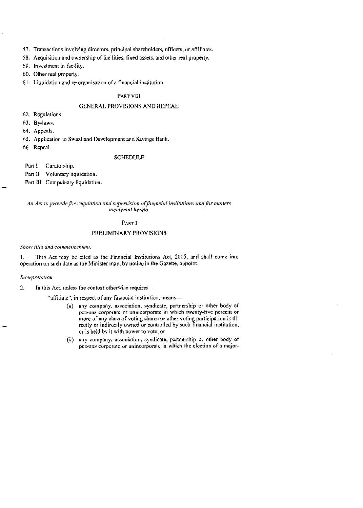57. Transactions involving directors, principal shareholders, officers, oraffiliates.

58. Acquisition and ownership of facilities, fixed assets, and other real property.

59. Investment in facility.

60. Other real property.

61. Liquidation and re-organisation of a financial institution.

# PART VIII

## GENERAL PROVISIONS AND REPEAL

62. Regulations.

63. By-laws.

64. Appeals.

65. Application to Swaziland Development and Savings Bank.

66. Repeal.

#### SCHEDULE

Parr <sup>1</sup> Curatorship.

Part II Voluntary liquidation.

Part III Compulsory liquidation.

#### An Act to provide for regulation and supervision of financial inslitutions and for matters Incidental hereto.

# PARr I

## PRELIMINARY PROVISIONS

Short title and commencement.

1. This Act may be cited as the Financial Institutions Act. 2005, and shall come into operation on such date as Ihe Minister may, by notice in the Gazette, appoint.

#### Interpretation.

2. In this Act, unless the context otherwise requires—

"affiliate", in respect of any financial institution, means-

- $(q)$  any company, association, syndicate, partnership or other body of. persons corporate or unincorporate in which twenty-five percent or more of any class of voting shares or other voting participation is directly or indirectly owned or controlled by such financial institution, or is held by it with power to vote; or
- $(h)$  any company, association, syndicate, partnership or other body of persons corporate or unincorporate in which the election of a major-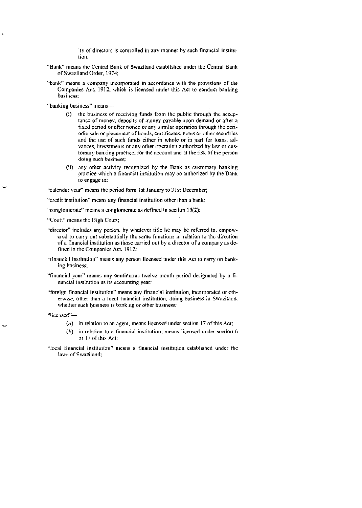ity of directors is controlled in any manner by such financial institution:

- "Bank" means the Central Bank of Swaziland established under the Central Bank of Swaziland Order, 1974;
- "bank" means a company incorporated in accordance with the provisions of the Companies Act. 1912. which is licensed under this Act' to conduct banking business;

"banking business" means---

- $(i)$  the business of receiving funds from the public through the acceptance of money, deposits of money payable upon demand or after a fixed period or after notice or any similar operation through the periodic sale or placement of bonds, certificates, notes or other securities and the use of such funds either in whole or in part for loans, advances, investnients or any other operation authorized by law or customary banking practice, for the account and at the risk of the person doing such business;
- (ii) any other activity recognized by the Bank as customary banking practice which a financial institution may be authorized by the Bank to engage in:

"calcndar year" means the period form 1st January to 31st December;

- "credit institution" means any financial institution othcr than a bank;
- "conglomerate" means a conglomerate as defined in section 15(2);

"Court" means the High Court;

- "director" includes any person, by whatever title he may be referred to, empowered to carry out substantially the same functions in rctation to the direction of a financial institution as those carried out by a director of a company as defined in the Companies Act, 1912;
- "financial institution" means any person licensed under this Act to carry on banking business:
- "financial year" means any continuous twelve month period designated by a financial institution as its accounting year;
- "foreign financial institution" means any financial institution, incorporated or otherwise, other than a local financial institution, doing business in Swaziland, whether such business is banking or other business;

"licensed"—

- $(a)$  in relation to an agent, means licensed under section 17 of this Act;
- $(b)$  in relation to a financial institution, means licensed under section 6 or 17 of this Act;
- "local financial institution" means a financial institution established under the laws of Swaziland: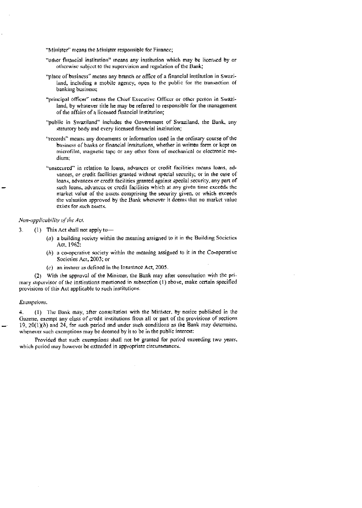"Minister" means the Minister responsible for Finance;

- 'other financial institution" means any institution which may be licensed by or otherwise subject to the supervision and regulation of the Bank;
- "place of business" means any branch or office of a financial institution in Swaziland, including a mobile agency, open to the public for the transaction of banking business;
- "principal officer" incans the Chief Executive Officer or other person in Swaziland, by whatever title he may be referred to responsible for the management of the affairs of a licensed financial institution;
- "public in Swaziland" includes the Government of Swaziland, the Bank, any statutory body and every licensed financial institution;
- "records" means any documents or information used in the ordinary course of the business of' banks or financial institutions, whether in written form or kept on microfilm, magnetic tape or any other form of mechanical or electronic medium;
- "unsecured" in relation to loans, advances or credit facilities means loans, advances, or credit facilities granted without special security; or in the case of loans, advances or credit facilities granted against special security, any part of such loans, advances or credil facilities which at any given time exceeds the market value of the assets comprising the security given. or which exceeds the valuation approved by the Bank whenever it deems that no market value exists for such assets.

#### Non-applicability of the Act,

- 3. (I) This Act shall not apply to—
	- $(a)$  a building society within the meaning assigned to it in the Building Societies Act. 1962;
	- $(h)$  a co-operative society within the meaning assigned to it in the Co-operative Societies Act, 2003; or
	- $(c)$  an insurer as defined in the Insurance Act, 2005.

(2) With the approval of the Minister, the Bank may after consultation with lhe primary supervisor of the institutions mentioned in subsection (I) above, make certain specified provisions of this Act applicable to such institutions.

#### Exemptions.

4. (1) The Bank may, after consultation with the Minister, by notice published in the Gazette, exempt any class of credit institutions from all or part of the provisions of sections 19,  $20(1)(b)$  and 24, for such period and under such conditions as the Bank may determine, whenever such exemptions may be deemed by it to be in the public interest:

Provided that such excmplions shall not he granted for period exceeding two years. which period may however be extended in appropriate circumstances.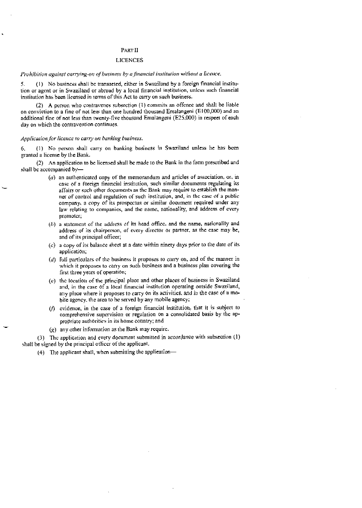#### PART II

#### **LICENCES**

## Prohibition against carrying-on of business by a financial institution without a licence.

<sup>5</sup> (I) No busincss shall be transacteci, either in Swaziland by a foreign financial institution or agent or in Swaziland or abroad by a local financial institution, unless such financial institution has been licensed in terms of this Act to carry on such business.

(2) A person who contravenes subsection (I) commits an offence and shall he liable on conviction to a fine of not less than one hundred thousand Emalangeni (ElOO,000) and an additional fine of not less than twenty-five thousand Emalangeni (E25,000) in respect of each day on which the contravention continues.

#### Application for licence to carry on banking business.

4. (1) No person shall carry on banking business in Swaziland unless he has been granted a license by the Bank.

(2) An application to be licensed shall be made to the Bank in the fonn prescribed and shall be accompanied by—

- $(a)$  an authenticated copy of the memorandum and articles of association, or, in case or a foreign financial institution, such similar documents regulating its affairs or such other documents as the Bank may require to establish the manner of control and regulation of such institution, and, in the case ot a public company, a copy of its prospectus or similar document required under any law relating to companies, and the name, nationality, and address of every promoter;
- $(b)$  a statement of the address of its head office, and the name, nationality and address of its chairperson, of every director or partner, as the ease may be, and of its principal officer;
- $(c)$  a copy of its balance sheet at a date within ninety days prior to the date of its application;
- $(d)$  full particulars of the business it proposes to carry on, and of the manner in which it proposes to carry on such business and a business plan covering the first three years of operation;
- $(e)$  the location of the principal place and other places of business in Swaziland and, in the case of a local financial institution operating outside Swaziland, any place where it proposes to carry on its activities, and in the case of a mobile agency, the area to be served by any mobile agency;
- ( $f$ ) evidence, in the case of a foreign financial institution, that it is subject to comprehensive supervision or regulation on a consolidated basis by the appropriate authorities in its home country; and
- $(g)$  any other information as the Bank inay require.

(3) The application and every document submitted in accordance with subsection (1) shall be signed by the principal officer of the applicant.

(4) The applicant shall, when submitting the application—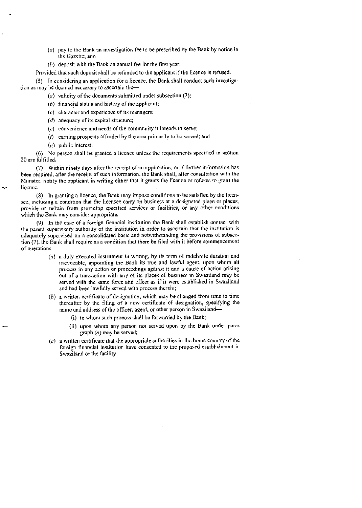- ( $a$ ) pay to the Bank an investigation fee to be prescribed by the Bank by notice in the Gazette: and
- $(b)$  deposit with the Bank an annual fee for the first year:

Provided that such deposit shall be refunded to the applicant if the licence is refused.

(5) In considering an application fora licence, the Bank shall conduct such investigation as may he deemed necessary to ascertain the—

- (a) validity of the documents submitted under subsection (2);
- $(b)$  financial status and history of the applicant:
- (C) character and experience of its managers:
- ( $d$ ) adequacy of its capital structure;
- $(c)$  convenience and needs of the community it intends to serve;
- (/) earning prospects afforded by the area primarily to bc scrved; and
- (g) public interest.

(6) No person shall be grantcd a liccnce unless the requirements specified in section 20 are fulfilled.

(7) Within ninety days after the receipt of an application, or if further information has been required, alter the receipt of such information, the Bank. shall, after consultation with the Minister, notify the appticant in writing either that it giants the licence or refuses to grant the licence.

 $(8)$  In granting a licence, the Bank inay impose conditions to be satisfied by the licensee, including a condition that the licensee carry on business at a designated place or places, provide or refrain from providing specified services or facilities, or any other conditions which the Bank may consider appropriate.

(9) In the case of' a foreign financial institution the Bank shall establish conlaci with the parent supervisory authority of the institution in order to ascertain that the institution is adequately supervised on a consolidated basis and notwithstanding the provisions of subsection (7), the Bank shall require as a condition that there be filed with it before commencement of operations

- $(a)$  a duly executed instrument in writing, by its term of indefinite duration and irrevocable, appointing the Bank its true and lawful agent, upon whom all process in any action or proceedings against it and a cause of action arising out of a transaction with any of its places of business in Swaziland may be served with the same force and effect as if it were established in Swaziland and had been lawfully served with process therein;
- $(b)$  a written certificate of designation, which may be changed from time to time thereafter by the tiling of a new ccrtifieate of designation, specifying the name and address of the officer, agent, or other person in Swaziland—
	- (1) to whom such process shall be forwarded by the Bank;
	- (ii) upon whom any person not served upon by the Bank under pam' graph (a) may be served;
- $(c)$  a written certificate that the appropriate authorities in the home country of the foreign financial institution have consented to the proposed establishment in Swaziland of the facility.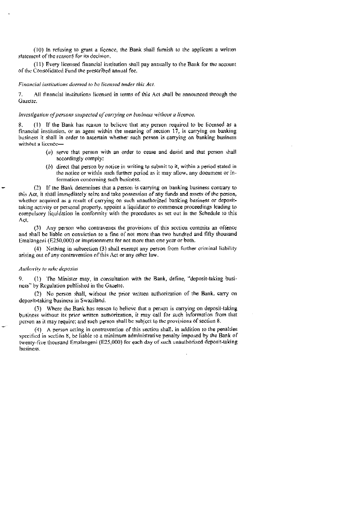(10) in refusing to grant a licence, the Bank shall furnish to the applicant a written statement of the reasons for its decision.

(II) Every licensed financial institution shalt pay annually to the Bank For the account of the Consolidated Fund the prescribed annual fee.

#### Financial institutions deemed to he licensed under this Act.

7. All financial institutions licensed in terms of this Act shall be announced through the Gazette.

#### Investigation of persons suspected of canymg on business without a licence.

8. (1) If the Bank has reason to believe that any person required to be licensed as a financial institution, or as agent within the meaning of section 17, is carrying on banking business it shall in order to ascertain whether such person is carrying on banking business without a licence—

- $(a)$  serve that person with an order to cease and desist and that person shall accordingly comply:
- $(b)$  direct that person by notice in writing to submit to it, within a period stated in the notice or within such further period as it may allow, any document or information concerning such business.

(2) It' the Bank determines that a person is carrying on banking business contrary to this Act, it shall immediately seize and take possession of any funds and assets of the person, whether acquired as a result of carrying on such unauthorized banking business or deposittaking activity or personal property, appoint a liquidator to commence proceedings leading to compulsory liquidation in conformity with the procedures as set out in the Schedule to this Act.

(3) Any person who contravenes the provisions of this section commits an offence and shall be liable on conviction to a tine 01' not more than two hundred and fifty thousand Emalangeni (E250,000) or imprisonment for not more than one year or both.

(4) Nothing in subsection (3) shall exempt any person from further criminal liability arising out of any contravention of this Actor any other law.

#### Authority to take deposits

9. (1) The Minister may, in consultation with the Bank, define, "deposit-taking business" by Regulation published in the Gazette.

(2) No person shall, without the prior written authorization of the Bank, carry on deposit-taking business in Swaziland,

(3) Where the Bank has reason to believe that a person is carrying on deposit-taking business without its prior written authorization, it may call for such information from that person as it may require; and such person shall be subject to the provisions of section 8.

(4) A person acting in contravention of this section shall, in addition to the penalties specified in section 8, be liable to a minimum administrative penalty imposed by the Bank of twenty-five thousand flmatangeni (E25,000) for each day of such unauthorized deposit-taking business.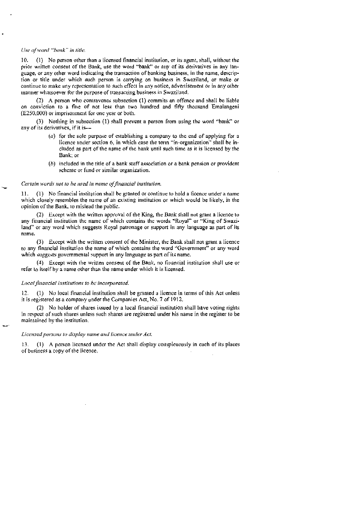#### C/sc of word 'hank' in title.

10. (1) No person other than a licensed financial institution, or its agent, shall, without the prior written consent of the Bank, use the word "bank" or any of its derivatives in any language, or any other word indicating the transaction of banking business, in the name, description or title under which such person is carrying on business in Swaziland. or make or continue to make any representation to such effect in any notice, advertisement or in any other manner whatsoever for the purpose of transacting business in Swaziland.

 $(2)$  A person who contravenes subsection  $(1)$  commits an offence and shall be liable on conviction to a fine of not ess than two hundred and fifty thousand Emalangeni (E250,000) or imprisonment for one year or both.

(9) Nothing in subscction (1) shall prevent a person from using the word "bank" or any of its derivatives, if it is--

- (a) for the sole purpose of establishing a company to the end of applying for a licence tinder section 6, in which case the term "in-organization" shall be ineluded as part of the name of the hank until such time as it is licensed by the Bank: or
- $(b)$  included in the title of a bank staff association or a bank pension or provident scheme or fund or similar organization.

#### Certain words not to be used in name of financial institution.

L (1) No Financial institution shall be granted or continue to hold a licence under a name which closely resembles the name of an existing institution or which would he likely. in the opinion of the Bank, to mislead the public.

(2) Except with the written approval of the King, the Bank shall not grant a licence to. any financial institution the name of which contains the words "Royal" or "King of Swaziland" or any word which suggests Royal patronage or support in any language as part of its name.

(3) Except with the written consent of the Minister, the Bank shall not grant a licence to any financial institution the name of which contains the word "Government" or any word which suggests governmental support in any language as part of its name.

 $(4)$  Except with the written consent of the Bank, no financial institution shall use or refer to itself by a name other that the name under which it is licensed.

#### Local financial institutions to he incorporated.

12. (1) No local financial institution shall be granted a liceace in terms of this Act unless it is registered as a company under the Companies Act, No. 7 of 1912.

(2) No holder of shares issued by a local financial institution shall have voting rights in respect of such shares unless such shares are registered under his name in the register to be maintained by the institution.

#### Licensed persons to display name and licence under Act.

13. (1) A person licensed under the Act shall display conspieuotisly in each of its places of business a copy of the licence.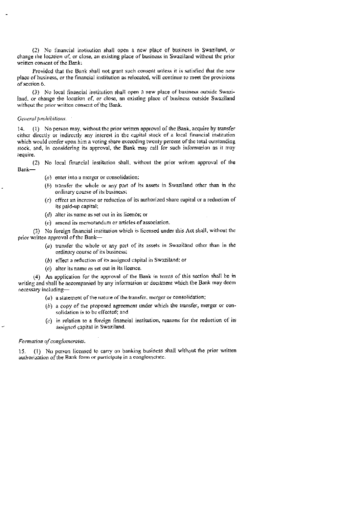(2) No financial institution shall open a new place of business in Swaziland, or change the location of. or close, an existing place of business in Swaziland without the prior written consent of the Bank:

Provided that the Bank shall not grant such consent unless it is satisfied that the new place of business, or the financial institution as relocated, will continue to meet the provisions of section &

(3) No local financial institution shall open a new place of business outside Swaziland, or change the location of, or close, an existing place of business outside Swaziland without the prior written consent of the Bank.

#### General prohibitions.

 $14.$  (1) No person may, without the prior written approval of the Bank, acquire by transfer either directly or indirectly any interest in the capital stock of a local financial institution which would confer upon him a voting share exceeding twenty percent of the total outstanding stock., and, in considering its approval, the Bank may call for such information as it may require.

(2) No local financial institution shall, without the prior writien approval of the Bank—

- $(a)$  enter into a merger or consolidation:
- $(b)$  transfer the whole or any part of its assets in Swaziland other than in the ordinary course of its business;
- $(c)$  effect an increase or reduction of its authorized share capital or a reduction of its paid-up capital;
- $(d)$  alter its name as set out in its licence; or
- $(e)$  amend its memorandum or articles of association.

(3) No foreign tinancial institution which is licensed under this Act shall, without the prior written approval of the Bank-

- (a) transfer the whole or any part of its assets in Swaziland other than in the ordinary course of its business:
- $(b)$  effect a reduction of its assigned capital in Swaziland: or
- (C) alter its name as set out in its licence.

(4) An application for the approval of the Bank in tems of this section shall he in writing and shall be accompanied by any information or document which the Bank may deem necessary including—

- $(a)$  a statement of the nature of the transfer, merger or consolidation;
- $(b)$  a copy of the proposed agreement under which the transfer, merger or consolidation is to be effected: and
- $(c)$  in relation to a foreign financial institution, reasons for the reduction of its assigned capital in Swaziland.

#### Formation of conglomerates.

15. (I) No person licensed to carry on banking business shall without the prior written authorization of the Bank form or participate in a conglomerate.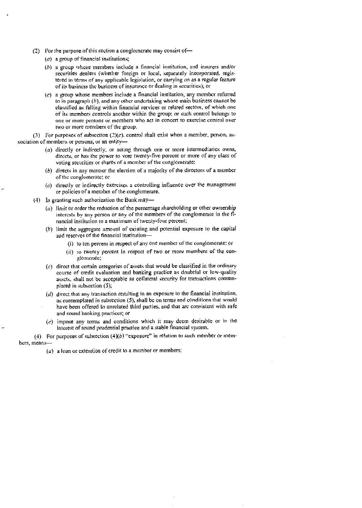- (2) For the purpose of this section a conglomerate may consist of—
	- (a) a group of financial institutions;
	- (h) a group whose members include a financial institution, and insurers and/or securities dealers (whether foreign or local, separately incorporated, registered in tenns of any applicable legislation, or carrying on as a regular feature of its business the business of insurance or dealing in securities); or
	- (C) a group whose members include a financial institution, any member refcrred to in paragraph  $(b)$ , and any other undertaking whose main business cannot be classified as falling within financial services or related sectors, of which one of its members controls another within the group; or such control belongs to one or more persons or members who act in concert to exercise control over two or more members of the group.

(3) For purposes of subsection  $(2)(c)$ , control shall exist when a member, person, association of members or persons, or an entity—

- (a) directly or indirectly, or acting through one or more intermediaries owns, directs, or has the power to vote twenty-five percent or more of any class of voting securities or shares of a member of the conglomerate:
- $(b)$  directs in any manner the election of a majority of the directors of a member of' the conglomerate: or
- $(c)$  directly or indirectly exercises a controlling influence over the management or policies of a member of the conglomerate.
- (4) In granting such authorization the Bank may—
	- $(a)$  limit or order the reduction of the percentage shareholding or other ownership interests by any person or any of the members of the conglomerate in the financial institution to a maximum of twenty-four percent:
	- (h) limit the aggregate amount of esisting and potential exposure to the capital and reserves of the financial institution—
		- (i) to ten percent in respect of any one member of the conglomerate: or
		- (ii) to twenty percent in respect of two or more members of the conglomerate;
	- $(c)$  dircet that certain categories of assets that would be classified in the ordinary course of credit evaluation and banking practice as doubtful or low-quality assets, shall not be acceptable as collateral security for transactions contemplated in subsection (5);
	- $(d)$  direct that any transaction resulting in an exposure to the financial institution, as contemplated in subsection (5), shall be on terms and conditions that would have been offered to unrelated third parties, and that arc consistent with safe and sound banking practices; or
	- $(e)$  impose any terms and conditions which it may deem desirable or in the interest of sound prudential practice and a stable financial system.

(4) For purposes of subsection  $(4)(b)$  "exposure" in relation to such member or niembers, means—

 $(a)$  a loan or extension of credit to a member or members;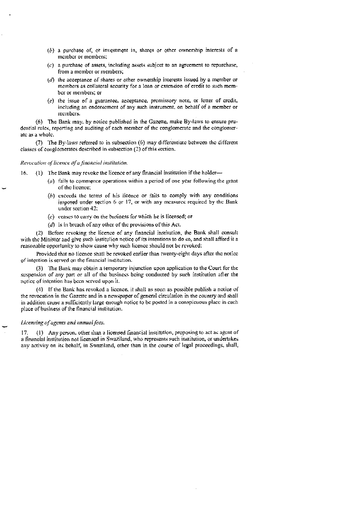- $(b)$  a purchase of, or investment in, shares or other ownership interests of a member or members:
- $(c)$  a purchase of assets, including assets subject to an agreement to repurchase, from a member or members;
- $(d)$  the acceptance of shares or other ownership interests issued by a member or members as collateral security for a loan or extension of credit to such member or members; or
- $(e)$  the issue of a guarantee, acceptance, promissory note, or letter of credit, including an endorsement of any such instrument, on behalf of a member or members.

(6) The Bank may, by notice published in the Gazette, make By-laws to ensure prudential rules, reporting and auditing of each member of the conglomerate and the conglomerate as a whole.

(7) The By-laws referred to in subsection (6) may differentiate between the different classes of conglomerates described in subsection (2) of this section.

#### Revocation of licence of a financial institution.

16. (1) The Bank may revoke the licence of any financial institution if the holder-

- $(a)$  fails to commence operations within a period of one year following the grant of the licence:
- $(b)$  exceeds the terms of his licence or fails to comply with any conditions imposed under section 6 or 17, or with any measures required by the Bank under section 42:
- (C) ceases to carry on the business for which he is licensed; or
- ( $d$ ) is in breach of any other of the provisions of this Act.

(2) Before revoking the licence of any financial institution, the Bank shall consult with the Minisler and give such institution notice of its intentions to do so, and shall afford it a reasonable opportunity to show cause why such licence should not be revoked:

Provided that no licence shall be revoked earlier than twenty-eight days after the notice of intention is served on the financial institution.

(3) The Bank may obtain a temporary injunction upon application to the Court for the suspension of any part or all of the business being conducted by such institution afler lhe notice of intention has been served upon it.

 $(4)$  If the Bank has revoked a licence, it shall as soon as possible publish a notice of the revocation in the Gazette and in a newspaper of general circulation in the country and shall in addition cause a sulficiently large enough notice to be posted in a conspicuous place in each place of business of the financial institution.

#### Licensing of agents and annual fees.

17. (1) Any person, other than a licensed financial institution, proposing to act as agent of a financial institution not licensed in Swaziland, who represents such institution, or undertakes any activity on its behalf, in Swaziland, other than in the course of legal proceedings, shall.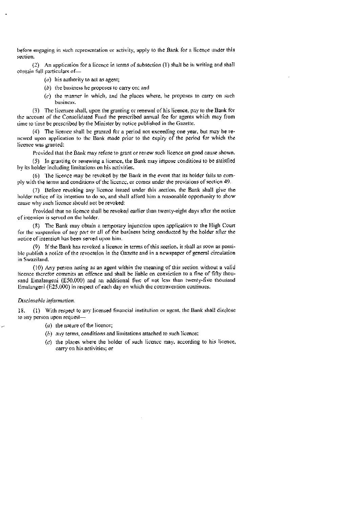before engaging in such representation or activity, apply to the Bank for a licence under this section.

(2) An application for a licence in terms of subsection (1) shall be in writing and shall contain full particulars of—

- ( $a$ ) his authority to act as agent;
- $(b)$  the business he proposes to carry on; and
- $(c)$  the manner in which, and the places where, he proposes to carry on such business.

(3) The licensee shall, upon the granting or renewal of his licence, pay to the Bank for the account of the Consolidated Fund the prescribed annual fee for agents which may from time to time be prescribed by the Minister by notice published in the Gazette.

(4) The licence shall be granted for a period not exceeding one year, but may he rencwed upon application to the Bank made prior to the expiry of the period for which the licence was granted:

Provided that the Bank may refuse to grant or renew such licence on good cause shown.

(5) Jn granting or renewing a licence, the Bank may impose conditions to be satisfied by its holder including limitations on his activities.

(6) The licence may he evoked by the Bank in the event that its holder fails to comply with the terms and conditions of the licence, or comes under the provisions of section 49.

(7) Before revoking any licence issued under this section. the Bank shall give the holder notice of its intention to do so, and shall afford him a reasonable opportunity to show cause why such licence should not be revoked:

Provided that no licence shall be revoked earlier than twenty-eight days after the notice of intention is sen'ed on the holder.

(8) The Bank may obtain a temporary injunction upon application to the High Court for the suspension of any part or all of the business being conducted by the holder after the notice of intention has been sen'ed upon hini.

(9) If the Bank has revoked a licence in terms of this section, it shall as soon as possible publish a notice of the revocation in the Ciazette and in a newspaper of general circulation in Swaziland.

(10) Any person acting as an agent within the meaning of this section without a valid licence therefor commits an offence and shall be liable on conviction to a fine of fifty thousand Emalangeni (E50.000) and an additional fine of not less than twenty-five thousand Emalangen) (E25,000) in respect of each day on which the contravention continues.

### Disclosable information.

18. (1) With respect to any licensed financial institution or agent, the Bank shall disclose to any person upon request-

- $(a)$  the nature of the licence;
- $(b)$  any terms, conditions and limitations attached to such licence;
- (c) the places where the holder of such licence may, according to his licence, carry on his activities; or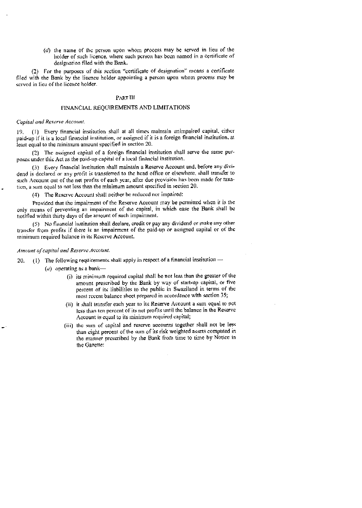(c/) the name of the person upon whom process may he served in lieu of the holder of such licence, where such person has been named in a certificate of designation filed with the Bank.

(2) For the purposes of this section "certificate of designation' means a certificate filed with the Bank by the licence holder appointing a person upon whom process may be served in lieu of the licence holder.

# PART Ill

### FINANCIAL REQUIREMENTS AND LIMITATIONS

#### Capital and Reserve Account.

19. (I) Every financial itistittition shall at all times maintain unimpaired capital, either paid-up if it is a local financial institution. or assigned if it is a foreign financial institution, at least equal to the minimum amount specified in section 20.

(2) The assigned capital of a foreign financial institution shall serve the same purposes under this Act as the paid-up capital of a local tinancial institution.

(3) Every financial institution shall maintain a Reserve Account and, before any dividend is declared or any profit is transferred to the head office or elsewhere, shall transfer to such Account out of the net profits of each year, after due provision has been made for taxation, a sum equal to not less than the minimum amount specified in section 20.

(4) The Reserve Account shall neither he reduced nor impaired:

Provided that the impairment of the Reserve Account may be permitted when it is the only means of preventing an impairment 01' the capital, in which ease the Bank shall he tiotitied within thirty days of the amount of such impainnent.

(5) •No financial institution shall declnre, credit or pay any dividend or make any other transfer from profits if there is an impainment of the paid-up or assigned capital or of the minimum required balance in its Reserve Account.

#### Amount of capital and Reserve Account.

20. (1) The following requirements shall apply in respect of a financial institution  $\rightarrow$ 

- (a) operating as a bank—
	- 6) its minimum required capital shall he not less than the greater of the amount prescribed by the Bank by way of start-up capital, or five percent of its liabilities to the public in Swaziland in terms of the most recent balance sheet prepared in accordance with section 35;
	- (ii) it shall transfer each year to its Reserve Account a sum equal to not less than ten percent of its net profits until the balance in the Reserve Account is equal to its minimum required capital;
	- (iii) the sum of capital and reserve accounts together shall not be less. than eight percent of the sum of its risk weighted assets computed in the manner prescribed by the Bank from time to time by Notice in the Gazette: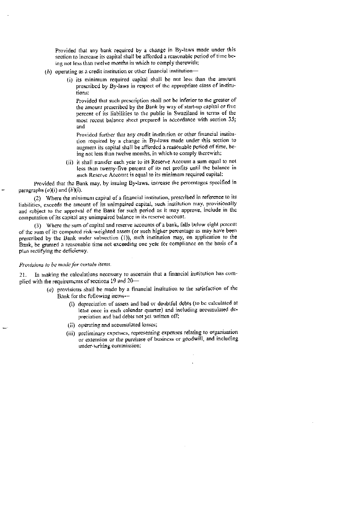Provided that any hank required by a change in By-laws made under this section to increase its capital shall be afforded a reasonable period of time being not less than twelve months in which to comply therewith;

- (h) operating as a credit institution or other financial institution—
	- (i) its minimum required capital shall be not less than the amount prescribed by By-laws in respect of the appropriate class of institutions:

Provided that such prescription shall not be inferior to the greater of the amount prescribed by the Bank by way of start-up capital or five percent of its liabilities to the public in Swaziland in terms of the most recent balance shcct prepared in accordance with section 35; and

Providcd further that any credit institution or other financial institution required by a change in By-laws made under this section to augment its capital shall he afforded a reasonable period of time, being not less than twelve months, in which to comply therewith;

(ii) it shall transfer each year to its Reserve Account a sum equal to not less than twenty-five percent of its net profits until the balance in such Reserve Account is equal to its minimum required capital:

Provided that the Bank may, by issuing By-laws, increase the percentages specified in paragraphs  $(a)(i)$  and  $(b)(i)$ .

(2) Where the minimum capital of a financial institution, prescribed in reference to its liabilities, exceeds the amount of its unimpaired capital, such institution may, provisionally and subject to the approval of the Bank for such period as it may approve, include in the computation of its capital any unimpaired balance in its reserve account.

(3) Where the sum of capital and reserve accounts of a bank, falls below eight percent of the sum of its computed risk-weighted assets (or such higher percentage as may have been prescribed by the Bank under subsection (1)), such institution may, on application to the Bank, be granted a reasonable time not exceeding one year for compliance on the basis of a plan rectifying the deficiency.

#### Provisions to be made for certain items.

21. In making the calculations necessary to ascertain that a financial institution has complied with the requirements of sections  $19$  and  $20-$ 

- $(a)$  provisions shall be made by a financial institution to the satisfaction of the Bank for the following items----
	- (i) depreciation of assets and had or doubtful debts (to be calculated at least once in each calendar quarter) and including accumulated depreciation and bad debts not yet written oil;
	- (ii) operating and accumulated losses;
	- (iii) preliminary expenses, representing expenses relating to organisation or extension or the purchase of business or goodwill, and including under-writing commission;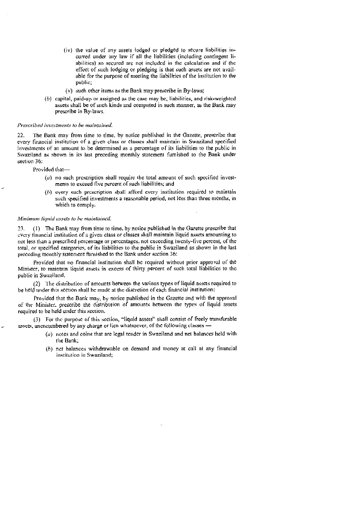- (iv) the value of any assets lodged or pledged to secure liabilities incurred under any law if all the liabilities (including contingent Iiabilities) so secured are not included in the calculation and if the effect of such lodging or pledging is that such assets are not available for the purpose of meeting the liabilities of the institution to the public;
- (v) such other items as the Bank may prescribe in By-laws;
- $(b)$  capital, paid-up or assigned as the case may be, liabilities, and risk-weighted assets shall be of such kinds and computed in such manner, as the Bank may prescribe in By-laws.

#### Prescribed investments to be maintained.

22. The Bank may from time to time, by notice published in the Gazette, prescribe that every financial institution of a given class or classes shall maintain in Swaziland specified investments of an amount to be determined as a percentage of its liabilities to the public in Swaziland as shown in its last preceding monthly statement furnished to the Bank under section 36:

Provided that—

- $(a)$  no such prescription shall require the total amount of such specified investments to exceed five percent of such liabilities; and
- $(b)$  every such prescription sball afford every institution required to maintain such specified investments a reasonable period, not less than three months, in which to comply.

#### Minimum liquid assets to be maintained.

23. (1) The Bank may from time to time, by notice published in the Gazette prescribe that cvcry financial institution of a given class or classes shall matntain liquid assets amounting to not less than a prescribed percentage or percentages, not exceeding twenty-tive percent, of the total, or specified categories, of its liabilities to the public in Swaziland as shown in the last preceding monthly statement furnished to the Bank undcr scction 36:

Provided that no financial institution shall be required without prior approval of the Minister, to maintain liquid assets in excess of thirty percent of such total liabilities to the public in Swaziland.

(2) The distribution of amounts between the various types of liquid assets required to he held under this section shall be made at the discretion of each financial institution;

Provided that the Bank may, by notice published in the Gazette and with the approval of the Minister, prescribe the distribution of amounts between the types of liquid assets required to be held under this section.

(3) For the purpose of this section, "liquid assets" shall consist of freely transferable assets, unencumbered by any charge or lien whatsoever, of the following classes -

- $(a)$  notes and coins that are legal tender in Swaziland and net balances held with the Bank;
- (h) net balances withdrawable on demand and money at call at any financial institution in Swaziland;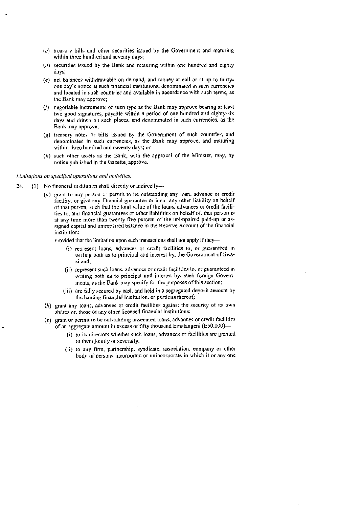- $(c)$  treasury bills and other securities issued by the Government and maturing within three hundred and seventy days;
- $(d)$  securities issued by the Bank and maturing within one hundred and eighty days;
- $(c)$  net balances withdrawable on demand, and money at call or at up to thirtyone day's notice at such financial institutions, denominated in such cunencies and located in such countries and available in accordance with such terms, as the Bank nay approve;
- $(f)$  negotiable instruments of such type as the Bank may approve bearing at least two good signatures, payable within a period of one hundred and eighty-six days and drawn on such places, and denominated in such currencies, as the Bank may approve;
- $(g)$  treasury notes or bills issued by the Government of such countries, and denominated in such currencies, as the Bank may approve, and maturing within three hundred and seventy days; or
- $(h)$  such other assets as the Bank, with the approval of the Minister, may, by notice published in the Gazette, approve.

#### Limitations on specified operations and activities.

- 24. (1) No financial institution shall directly or indirectly—-
	- (a) grant to any person or permit to be outstanding any loan, advance or credit facility, or give any financial guarantee or incur any other liability on behalf of that person, such that the total value of the loans, advances or credit facilities to, and linancial guarantees or other liabilities on behalf of, that person is at any time more than twenty-five percent of the unimpaired paid-up or assigned capital and unimpaired balance in the Reserve Account of the financial institution

Provided that the limitation upon such transactions shall not apply if they—

- (i) represent loans, advances or credit facilities to, or guaranteed in writing both as to principal and interest by, the Government of Swaziland;
- (ii) represent such loans., advances or credit facilities to. or guaranteed in writing both as to principal and interest by, such foreign Governments, as the Bank may specify for the purposes of this section;
- (iii) are fully secured by cash and held in a segregated deposit account by the lending financial institution, or portions thereof;
- (b) grant any loans, advances or credit facilities against the security of its own shares or, those of any other licensed financial Institutions;
- $(c)$  grant or permit to be outstanding unsecured loans, advances or credit facilities of an aggregate amount in excess of fifty thousand Emalangeni (E50,000}—
	- (i) to its directors whether such loans, advances or facilities are granted to them jointly or severally;
	- (ii) to any firm, partnership, syndicate, association, company or other body of persons incorporate or unincorporate in which it or any one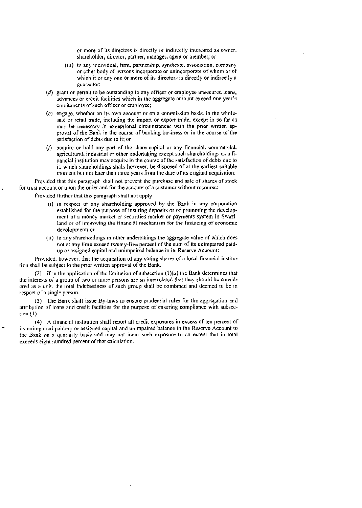or more of' its directors is directly or indirectly interested as owner. sharcholder, director, partner, manager, agent or member; or

- (iii) to any individual, firm, partnership, syndicate. association, company or other body of persons incorporate or unineorporate of whom or of which it or any one or more of its directors is directly or indirectly a guaranlor:
- $(d)$  grant or permit to be outstanding to any officer or employee unsecured loans, advances or credit facilities which in the aggregate amount exceed one year's emoluments of such officer or employec;
- $(e)$  engage, whether on its own account or on a commission basis, in the wholesale or retail trade, including the import or export trade, except in so far as may be necessary in exceptional circumstances with the prior written approval of the Bank in the course of banking business or in the course ot' the satisfaction of debts due to it: or
- (ñ acquire or hold any part of the share capital or any financial, commercial. agricultural, industrial or other undertaking except such shareholdings as a Iinancial institution may acquire in the course of the satisfaction of debts due to it, which shareholdings shall. however, be disposed of at the earliest suitable moment but not later than three years from the date of its original acquisition:

Provided that this paragraph shall not prevent the purchase and sale of shares of stock for (rust account or upon the order and for the account of a customer without recourse:

Provided further that this paragraph shall not apply—

- (i) in respect of any sharcholding approved by the Bank in any corporation established for the purpose of insuring deposits or of promoting the development of a money market or securities market or payments system in Swaziland or of improving the financial mechanism for the financing of economic development: or
- (ii) to any shareholdings in other undertakings the aggregate value of which does not at any time exceed twenty-live percent of the sum of its unimpaired paidup or assigned capital and unimpaired balance in its Reserve Account:

Provided, however, that the acquisition of any voting shares of a local financial institution shall be subject to the prior written approval of the Bank.

(2) If in the application of the limitation of subsection  $(1)(a)$  the Bank determines that the interests of a group of two or more persons are so interrelated that they should be considered as a unit, the otal indebtedness of such group shall be combined and deemed to be in respect of a single person.

(3) The Bank shall issue By-laws to ensure prudential rules for the aggregation and attribution of loans and credit facilities for the purpose of ensuring compliance with subsection (1).

(4) A financial institution shall report all credit exposures in excess often peicent of its unimpaired paid-up or assigned capital and unimpaired balance in the Reserve Account to the Bank on a quarterly basis and may not incur such exposure to an extent that in total cxceecls eight hundred percent of that calculation.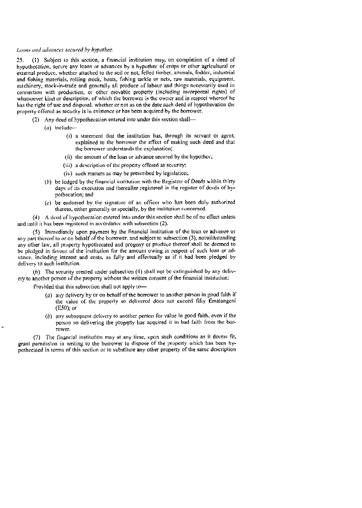## Loans and advances secured by hypathec.

25. (1) Subject to this section. a financial institution may, on completion of a deed of hypothecation, secure any loans or advances by a hypothec of crops or other agricultural or external produce, whether attached to the soil or not, felled timber, animals, fodder, industrial and fishing materials, rolling stock, boats, fishing tackle or nes, raw materials, equipment. machinery, stock-in-trade and generally all produce of labour and things necessarily used in connection with production, or other movable property (including incorporeal rights) of whatsoever kind or description, of which the borrower is the owner and in respect whereof he has the right 0f use and disposal, whether or not as on the date such deed of hypothecation the property offered as security is in existence or has been acquired by the borrower.

- (2) Any deed of hypothecation entered into under this section shall—
	- $(a)$  include  $\equiv$ 
		- (i) a statement that the institution has, through its servant or agent, explained to the borrower the effect of making such deed and that the borrower understands the explanation;
		- (ii) the amount of the loan or advance secured by the hypothec;
		- (iii) a description of the property offered as security
		- (iv) such matters as may be prescribed by legislation;
	- $(t)$  be lodged by the financial institution with the Registrar of Deeds within thirty days of its execution and thereafter registered in the register of deeds ot bypothecation; and
	- (C) be endorsed by the signature of an officer who has been duly authorized thereto, either generally or specially, by the institution concerned.

(4) A deed of hypothecation entered into under this section shall be of no effect unless and until it has been registered in accordance with subsection (2).

(5) Immediately upon payment by the financial institution of the loan or advance or any part thereof to or on behalf of the borrower, and subject to subsection (3), notwithstanding any other law, all property hypothecated and progeny or produce thereof shall be deemed to be pledged in favour of the institution for the amount owing in respect of such loan or advance, including interest and costs, as fully and effectually as if it had been pledged by delivery to such institution.

(6) The security created tinder subsection (4) shall not bc extinguished by any dclivery to another person of the property without the written consent of the financial institution:

Provided that this subsection shall not apply to—

- (a) any delivery by or on behalf of the borrower to another person in good faith if the value of the property so delivered does not exceed fifty Emalangeni (E50); or
- $(b)$  any subsequent delivery to another person for value in good faith, even if the person so delivering the property has acquired it in bad faith from the borrower,

(7) The financial institution may at any time, upon such conditions as it deems fit, grant permission in writing to the borrower to dispose of the property which has been hypothecated in terms of this section or to substitute any other property of the same description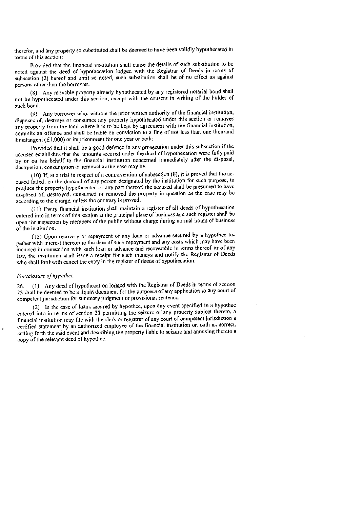therefor, and any property so substituted shall be deemed to have been validly hypothecated in terms of this section:

Provided that the financial institution shall cause the details of such substitution to be noted against the deed of hypothecation lodged with the Registrar of Deeds in terms of subsection (2) hereof and until so noted, such substitution shall be of no effect as against persons other than the borrower.

(8) Any movable property already hypothecated by any registered notarial bond shall not be hypotheeated under this section, except with the consent in writing of the holder of such bond.

(9) Any borrower who, without the prior written authority of the financial institution, disposes of, destroys or consumes any property hyporhecated under this section or removes any property from the land where it is to be kept by agreement with the financial institution. commits an offence and shall be liable on conviction to a fine of not less than one thousand Emalangeni (El .000) or imprisonment for one year or both:

Provided that it shall be a good defence in any prosecution under this subsection if the accused establishes that the amounts secured under the deed of hypothecation were fully paid by or on his behalf to the financial institution concerned immediately after the disposal, destruction. consumption or removal as the case may be.

(10) If, at a trial in respect of a contravention of subsection  $(8)$ , it is proved that the accased failed, on the demand of any person designated by the institution for such purpose, to produce the property hypothecated or any part thereof, the accused shall be presumed to have disposed of, destroyed, consumed or removed the property in question as the ease may he according to the charge. unless the contrary is proved.

(II) Every financial institution shall maintain a register of all deeds of hypothecation entered into in terms of this section at the principal place of business and such register shall be open for inspection by members nf the public without charge during normal hours of business of the institution.

(12) Upon recovery or repayment of any loan or advance secured by a hypothec together with interest thereon to the date of such repayment and any costs which may have been incurred in connection with such loan or advance and recoverable in terms thereof or of any law, the institution shall issue a receipt for such moneys and notify the Registrar of Deeds who shall forthwith cancel the entry in the register of deeds of hypothecation.

## Forcclosure of hypothec.

26. (1) Any deed of hypotheeation lodged with the Registrar of Deeds in terms of section 25 shall be deemed to be a liquid document for the purposes of any application to any court of competent jurisdiction for sununary judgment or provisional sentence.

(2) In the case of loans secured by hypothec, upon any event specified in a hypothec entered into in terms of section 25 permitting the seizure of any property subject thereto, a financial institution may file with the clerk or registrar ot'any court of competent jurisdiction a certified statement by an authorized employee of the financial institution on oath as correct. setting forth the said event and describing the property liable to seizure and annexing thereto a copy of the relevant deed of hypothee.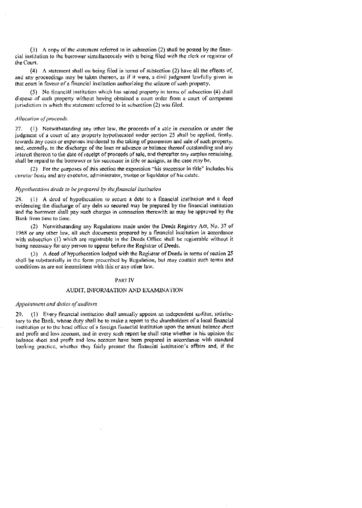$(3)$  A copy of the statement referred to in subsection  $(2)$  shall be posted by the financial institution to the borrower simultaneously with it being filed with the clerk or registrar of the Court.

 $(4)$  A statement shall on being filed in terms of subsection  $(2)$  have all the effects of, and any proceedings may be taken thereon, as if it were, a civil judgment lawfully given in that court in favour of a financial institution authorizing the seizure of such property.

 $(5)$  No financial institution which has seized property in terms of subsection (4) shall dispose of such property without having obtained a court order from a court of competent jurisdiction in which the statement referred to in subsection (2) was filed.

#### Allocation of proceeds.

27. (1) Notwithstanding any other law, the proceeds of a sale in execution or under the judgment of a court of any properly hypothecated under section 25 shall he applied, firstly, towards any costs or espenses incidental to the taking of possession and sale of such property. and, secondly, to the discharge of the loan or advance or balance thereof outstanding and any interest thereon to the date of receipt of proceeds of sale, and thereafter any surplus remaining. shall be repaid to the borrower or his successor in title or assigns, as the case may be.

(2) For the purposes of this section the expression This successor in title" includes his curator bonis and any executor, administrator, trustee or liquidator of his estate.

#### Hypothecation deeds to be prepared by the financial itistitution

28 (I) A deed of hypothecation to secure a debt to a financial institution and a deed evidencing the discharge of any debt so secured may be prepared by the financial institution and the borrower shall pay such charges in connection therewith as may be approved by the Bank from time to time.

(2) Notwithstanding any Regulations made under the Deeds Registry Act, No. 37 of 1968 or any other law, all such documents prepared by a financial institution in accordance with subsection  $(1)$  which are registrable in the Deeds Office shall be registrable without it being necessary for any person to appear before the Registrar of Deeds.

(3) A. deed of hypothecation lodged with the Registrar of Deeds in terms of section 23 shall he substantially in the form prescribed by Regulation, but may contain such terms and conditions as are not inconsistent with this or any other law.

#### PART IV

# AUDIT, INFORMATION AND EXAMINATION

#### Appointment and duties of auditors.

29. (1) Every financial institution shall annually appoint an independent auditor, satisfactory to the Bank. whose duty shall he to make a report to the shareholders of a local financial institution or to the head office of a foreign financial institution upon the annual balance sheet and profit and loss account, and in every such report he shall state whether in his opinion the balance sheet and profit and loss account have been prepared in accordance with standard banking practice, whether they fairly present the financial institution's affairs and, if the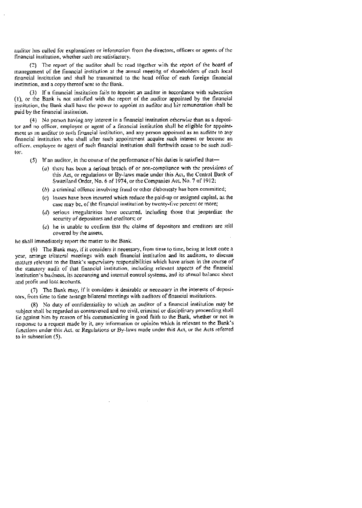auditor has called for explanations or information from the directors, officers or agents of the financial institution, whether such arc satisfactory.

(2) The report of the auditor shall be read together with the report of the hoard of management of the financial institution at the annual ineeting of shareholders of each local financial institution and shall he transmitted to the head office of each foreign linancial institution, and a copy thereof sent to the Bank.

(3) If a financial institution fails to appoint an auditor in accordance with subsection (I), ot the Batik is not satisfied with the report of the auditor appointed by the financial institution the Bank shall have the power to appoint an auditor and his remuneration shall be paid by the financial institution.

(4) No person having any interest in a financial institution otherwise than as a depositor and no officer, employee or agent of a financial institution shall be eligible for appointment as an auditor to such financial institution, and any person appointed as an auditor to any financial institution who shalt after such appointment acquire such interest or become an officer, employee or agent of such financial institution shall forthwith cease to he such. auditor.

- $(5)$  If an auditor, in the course of the performance of his duties is satisfied that—
	- ( $a$ ) there has been a serious breach of or non-compliance with the provisions of this Act, or regulations or By-laws made under this Act, the Central Bank of Swaziland Order, No. 6 of 1974, or the Companies Act. No. 7 of 1912;
	- $(b)$  a criminal offence involving fraud or other dishonesty has been committed;
	- (C) losses have been incurred which reduce the paid'up or assigned capital, as the ease may be. of the financial institution by twenty-five percent or more;
	- $(d)$  serious irregularities have occurred, including those that jeopardize the security of depositors and creditors: or
	- $(c)$  he is unable to confirm that the claims of depositors and creditors are still covered by the assets,

he shall immediately report the matter to the Bank.

(6) The Bank may, if it considers it necessary, from time to time, being at least once a year, arrange trilateral meetings with each financial institution and its auditors, to discuss matters relevant to the Bank's supervisory responsibilities which have ansen in the course of the statutory audit of that financial institution, including relevant aspects of the financial institution's business, its accounting and internal control systems, and its annual balance sheet and profit and loss accounts.

(7) The Bank may, if it considers it desirable or necessary in he interests of deposi. tors, from time to time arrange bilateral meetings with auditors of financial institutions.

(8) No duty of confidentiality to which an auditor of a financial institution may be subject shall be regarded as contravened and no civil, criminal or disciplinary proceeding shall tie against him by reason of his conimunicating in good faith to the Bank, whether or not in response to a request made by it, any information or opinion which is relevant to the Bank's functions under this Act, or Regulations or By-laws made under this Act, or the Acts referred to in subsection (5).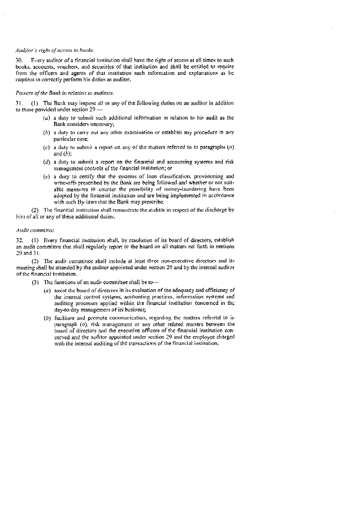# Auditor's right of access to hooks.

30. Every auditor of a financial institution shall have the right of access at all times to such books, accounts, vouchers, and securities of that institution and shall be entitled to require from the officers and agents of that institution such information and explanations as he requires to correctly perform his ditties as auditor.

#### Powers of the Bank in relation to auditors.

31. (I) The Bank may impose all or any of the following duties on an auditor in addition to those provided under section 29 —

- $(a)$  a duty to submit such additional information in relation to his audit as the Bank considers necessary;
- (h) a duty to carry out any other examination or establish any procedure in any particular case;
- (c) a duty to submit a report on any of the matters referred to in paragraphs  $(a)$ and  $(b)$ ;
- $(d)$  a duty to submit a report on the financial and accounting systems and risk management controls of the financial institution; or
- $(e)$  a duty to certify that the systems of loan classification, provisioning and write-offs prescribed by the Bank are being followed and whether or not suitable measures to counter the possibility of money-laundering have been adopted by the financial institution and are being implemented in accordance with such By-laws that the Bank may prescribe.

(2) The financial institution shall remunerate the auditor in respect of the discharge by him of all or any of these additional duties.

#### Andit committee.

32. (I) Every financial institution shall, by resolution of its board of directors, establish an audit committee that shall regularly report to the board on all matters set forth in seetions 29 and 31.

(2) The audit committee shall include at least three non-executive directors and its meeting shall be attended by the auditor appointed under section 29 and by the intemal auditor of the financial institution.

- $(3)$  The functions of an audit committee shall be to-
	- $(a)$  assist the board of directors in its evaluation of the adequacy and efficiency of the internal control systems, accounting practices, information systems and auditing processes applied within the financial institution concerned in the day-to-day management of its business;
	- $(b)$  facilitate and promote communication, regarding the matters referred to in paragraph  $(a)$ , risk management or any other related matters between the board of directors and the executive officers of the financial institution eoncertied and the auditor appointed under section 29 and the employee charged with the internal auditing of the transactions of the financial institution;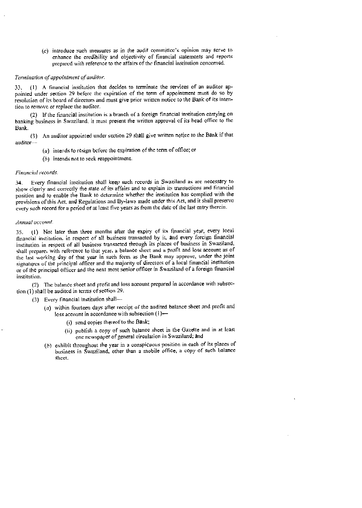$(c)$  introduce such measures as in the audit committee's opinion may serve to enhance the credibility and objectivity of financial statements and reports prepared with reference to the affairs of the financial institution concerned.

#### Termination of appointment of auditor.

(1) A financial institution that decides to terminate the services of an auditor ap-33. pointed under section 29 before the expiration of the term of appointment must do so by resolution of its board of directors and must give prior written notice to the Bank of its intention to remove or replace the auditor.

(2) If the financial institution is a branch of a foreign financial institution carrying on banking business in Swaziland, it must present the written approval of its head office to the Bank.

(3) An auditor appointed under section 29 shall give written notice to the Bank if that audito

- $(a)$  intends to resign before the expiration of the term of office; or
- $(b)$  intends not to seek reappointment.

#### Financial records.

34 Every financial institution shall keep such records in Swaziland as are necessary to show clearly and conectly the state of its affairs and to explain its transactions and financial position and to enable the Bank to determine whether the institution has complied with the provisions or this Act, and Regulations and By-laws made under this Act, and it shall preserve every such record for a period of at least five years as from the date ot' the last entry therein.

#### Annual accoant.

35. (1) Not later than three months after the expiry of its financial year, every local financial institution, in respect 0f all business transaeted by it, and every foreign financial institution in respect of all business transaeted through its places of business in Swaziland. shall prepare, with reference to that year, a balance sheet and a profit and loss account as of the last working day of that year in such form as the Bank may approve, under the joint signatures of the principal officer and the majority of directors of a local financial institution or of the principal officer and the next most senior officer in Swaziland of a foreign financial institution.

(2) The balance sheet and profit and loss account prepared in accordance with subsection (I) shall be audited in terms of section 29.

- (3) Every financial institution shall—....
	- $(a)$  within fourteen days after receipt of the audited balance sheet and profit and loss account in accordance with subsection (I)—
		- (i) send copies thereot'tu the Bank;
		- (ii) publish a copy of such balance sheet in the Gazette and in at least one newspaper of general circulation in Swaziland; and
	- $(b)$  exhibit throughout the year in a conspicuous position in each of its places of business in Swaziland, other than a mobile office, a copy of such balance sheet.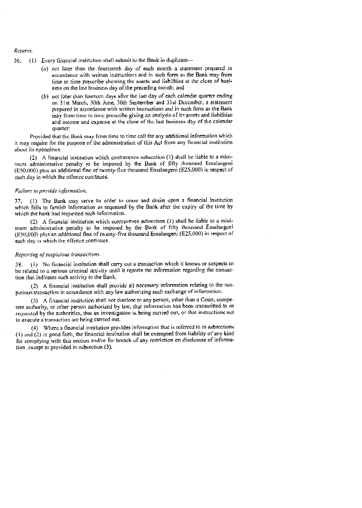#### Returns.

- 36. (1) Every financial institution shall submit to the Bank in duplicate—
	- $(a)$  not later than the fourteenth day of each month a statement prepared in accordance with written instructions and in such form as the Bank may from time to time prescribe showing thc assets and liabilities at the close of business on the last business day of the preceding month: and
	- $(b)$  not later than fourteen days after the last day of each calendar quarter ending on 31st March. 30th June, 30th September and 31st December, a statement prepared in accordance with written instructions and in such form as the Bank may from time to time prescribe giving an analysis of its assets and liabilities and income and expense at the close of the last business day of the calendar quarter:

Provided that the Bink may from time to time call for any additional information which it may require for the purpose of the administration of this Act from any financial institution about its operations.

(2) A financial institution which contravenes subsection  $(1)$  shall be liable to a minimum administrative penalty to be imposed by the Bank of fifty thousand Emalangeni  $(E50,000)$  plus an additional fine of twenty-five thousand Enlalangeni  $(E25,000)$  in respect of each day in which the offence continues.

#### Failure to provide information.

37. (1) The Bank may serve an order to cease and desist upon a financial institution which fails to furnish information as requested by the Bank after the expiry of the time by which the hank had requested such information.

(2) A financial institution which contravenes subsection  $(1)$  shall be liable to a minimum administrative penalty to he imposed by the Bank of fifty thousand Emalangeni (E50,000) plus an additional fine of twenty-five thousand Emalangeni (E25,000) in respect of each day in which the offence continues.

#### Reporting of suspicious transactions.

38. (I) No financial institution shall carry Out a transaction which it knows or suspects to be related to a serious criminal activity until it reports the information regarding the transaction that iadicates such activity to the Bank.

(2) A financial institution shall provide all necessary information relating to the suspicious transaction in accordance with any law authorizing such exchange of information.

(3) A financial institution shall not disclose to any person, other than a Court, competent authority, or other person authorized by law, that information has been transmitted to or requested by the authorities, that an investigation is being carried out, or that instructions not to execute a transaction are being carried out.

(4) Where a financial institution provides information that is referred to in subsections (I) and (2) in good faith, the financial institution shall be exempted from liability of any kind for complying with this section and/or for breach of any restriction on disclosure of information. except as provided in subsection (3).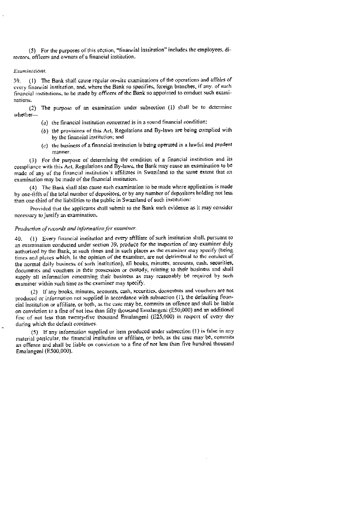(5) For the purposes or this section, "financial institution" includes [he employees, directors, officers and owners of a financial institution.

#### Examinations.

39, (1) The Bank shall cause regular on-site examinations of the operations and affairs of cvcry financial institution, and, where the Bank so specifies, foreign branches, if any, of such financial institutions, to be made by officers of the Bank so appointed to conduct such examinations.

(2) The purpose of an examination under subsection (1) shall be to determine whether—

- $(a)$  the financial institution concerned is in a sound financial condition:
- $(b)$  the provisions of this Act, Regulations and By-laws are being complied with by the financial institution: and
- $(c)$  the business of a financial institution is being operated in a lawful and prudent manner.

(3) For the purpose of determining the condition of a financial institution and its compliance with this Act, Regulations and By-laws, the Bank may cause an examination to be made of' any of the financial institution's affiliates in Swaziland to the same extent that an exumination 'nay be 'nude of' the financial institution.

(4) The Bank shall also cause such examination to be made where application is made by one-fifth of the total number of depositors, or by any number of depositors holding not less than one-third of the liabilities to the public in Swaziland of such institution:

Provided that the applicants shall submit to the Bank such evidence as it may consider necessary to justify an examination.

#### Production of records and information for examiner.

40. (I) Every financial institution and every affiliate of' such institution shall, pursuant to an examination conducted under section 39, produce for the inspection of any examiner duly authorized by the Bank, at such times and in such places as the examiner may specify (being times and places which, in the opinion of the examiner, are not detrimental to the conduct of the normal daily business of' such institution), all books, minutes. accounts, cash. securities. documents and vouchers in their possession or custody, relating to their business and shall supply all information concerning their business as may reasonably he required by such examiner within such time as the examiner may specify.

(2) II' any books, minutes, accounts, cash, securities, docutnents and vouchers are not produced or information not supplied in accordance with subsection (I), the defaulting financial institution or affiliate, or both, as the case may be, commits an offence and shall be liable on conviction to a fine of not less than fifty thousand Emalangeni (E50,000) and an additional fine of not less than twenty-five thousand Enialangeni (E25,000) in respect of every day during which the default continues.

(5) If any inl'ortnation supplied or itetn produced under subsection (1) is false in any material particular, the financial institution or affiliate, or both, as the case may be, commits an offence and shall be liable on conviction to a fine of not less than five hundred thousand Emalangeni (E500,000).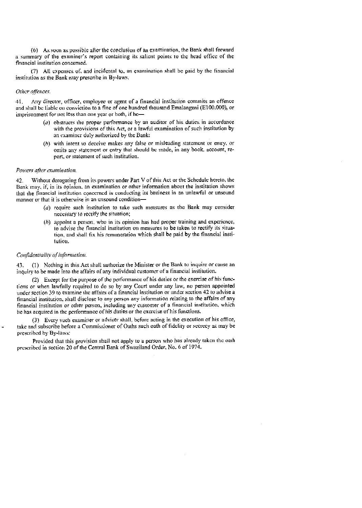(6) As soon as possible alier the conclusion of an examination, the Bank shall forward a summary of the examiner's report containing its salient points to the head office of the financial institution concenied.

(7) All expenses of, and incidental to. an examination shall be paid by the financial institution as the Bank may prescribe in By—laws.

### Other offences.

41. Any director, officer, employee or agent of a financial institution commits an offence and shall be liable on conviction to a fine of one hundred thousand Emalangeni (ElOO,000), or imprisonment for not less than one year or both, if he—

- (a) obstructs the proper performance by an auditor of his duties in accordance with the provisions of this Act, or a lawful examination of such institution by an examiner duly authorized by the Bank;
- (h) with intent to deceive makes any false or misleading statcmcnt or entry, or omits any statement or entry that should be made, in any book, account, report, or statement of such institution.

#### Powers after examination.

42. Without derogating from its powers under Part V of this Act or the Schedule hereto, the Bank may, if, in its opinion, an examination or other information about the institution shows that. the financial institution concerned is conducting its business in an unlawful or unsound manner or that it is otherwise in an unsound condition—

- $(a)$  require such institution to take such measures as the Bank may consider necessary to rectify the situation;
- $(h)$  appoint a person, who in its opinion has had proper training and experience, to advise the financial institution on measures to be taken to rectify its situation, and shall fix his remuneration which shall be paid by the financial institution.

# Confidentialltv of information.

43. (1) Nothing in this Act shall authorize the Minister or the Bank to inquire or cause an inquiry to be made into the affairs of any individual customer of a financial institution.

(2) Except for the purpose of the performance of his duties or the exercise of his functions or when lawfully required to do so by any Court under any law, no person appointed under section 39 to examine the affairs of a financial institution or under section 42 to advise a financial institution, shall disclose to any person any information relating to the affairs of any financial institution or other person, including any customer of a financial institution, which he has acquired in the performance of his duties or the exercise of his functions.

(3) Every such examiner or adviser shall, before acting in the execution of his office, take and subscribe before a Commissioner of Oaths such oath of fidelity or secrecy as may be prescribed by By-laws:

Provided that this provision shall not apply to a person who has already taken the oath prescribed in section 20 of the Central Bank of Swaziland Order, No. 6 of 1974.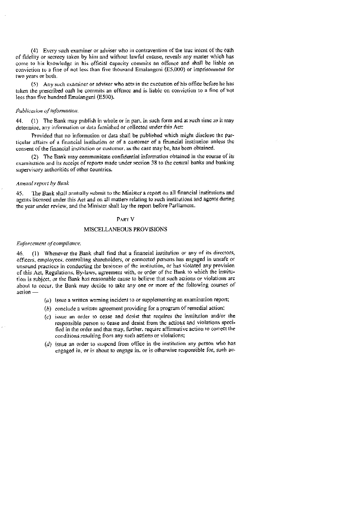(4) Every such exanliner or adviser who in contravention of the true intent of the oath of ticlelily or secrecy taken by him and without lawful excuse, reveals any matter which has come to his knowledge in his official capacity commits an offence and shall be liable on conviction to a fine of not less than five thousand Emalangeni ( $E5,000$ ) or imprisonment for two years or both.

(5) Any such examiner or adviser who acts in the execution of his office before he has taken the prescribed oath lie commits an offence and is liable on conviction to a fine of not less than five hundred Emalangeni (E500).

#### Publication of information.

44. (1) The Bank may publish in whole or in part. in such form and at such time as it may determine, any information or data furnished or collected under this Act:

Provided that no information or data shall be published which might disclose the particular affairs of a financial institution or of a customer of a financial institution unless the consent of the financial institution or customer, as the case may be, has been obtained.

 $(2)$  The Bank may communicate confidential information obtained in the course of its examination and its receipt of reports made under section 38 to the central banks and banking supervisory authorities of other countries.

#### Annual report by Bunk

45. the Bank shall animally submit to the Minister a report on all financial institutions and agents licensed under this Act and on all matters relating to such institutions and agents during the year under review, and the Minister shall lay the report before Parliament.

### PART<sub>V</sub>

#### MISCELLANEOUS PROVISIONS

#### Enforcement of compliance.

46. (I) Whenever the Bank shall find that a financial institution or any of its directors, officers, employees, controlling shareholders, or connected persons has engaged in unsafe or unsound practices in conducting the business of the institution, or has violated any provision of this Act, Regulations. By-laws, agreement with, or order of the Bank to which the institution is subject, or the Bank has reasonable cause to believe that such actions or violations are about to occur, the Bank may decide to take any one or more of the following courses of  $a$ ction  $-$ 

- $(a)$  issue a written warning incident to or supplementing an examination report;
- $(b)$  conclude a written agreement providing for a program of remedial action;
- $(c)$  issue an order to cease and desist that requires the institution and/or the responsible person to cease and desist from the actions and violations specitied in the order and that may, further, require affirmative action to correct the conditions resulting from any such actions or violations;
- $(d)$  issue an order to suspend from office in the institution any person who has engaged in, or is about to engage in, or is otherwise responsible for, such ac-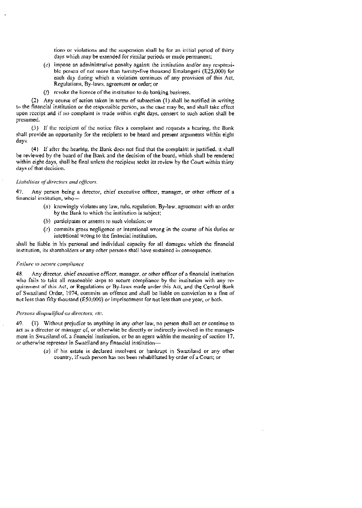tions or violations and the suspension shall be for an initial period of thirty days which may be estended for similar periods or made permanent:

- $(e)$  impose an administrative penalty against the institution and/or any responsible person of' not more than twenty-five thousand Emalangeni (E25,000) for each day during which a violation continues of any provision of this Act, ReguIation, By-laws, agreement or order; or
- $(1)$  revoke the licence of the institution to do banking business.

(2) Any course of' action taken in terms of subsection (I) shall be notified in writing to the financial institution or the responsible person, as the case may be, and shall take effect upon receipt and if 110 complaint is made within eight days- consent to such action shall be presumed.

(3) II' the recipient of the notice tiles a complaint and requests a hearing, the Bank shall provide an opportunity for the recipient to be heard and present arguments within eight days.

(4) If after the hearing, the Bank does not find that the complaint is justified, it shall he reviewed by the board of the Bank and the decision of the board, which shall be rendered within eight days, shall be final unless the recipient seeks its review by the Court within thirty clays of that decision.

#### Liabilities of directors and officers.

47. Any person being a director, chief executive officer, manager, or other officer of a financial institution, who

- $(a)$  knowingly violates any law, rule, regulation. By-law, agreement with an order by the Bank to which the institution is subject:
- $(b)$  participates or assents to such violation; or
- $(c)$  commits gross negligence or intentional wrong in the course of his duties or intentional wrong to the financial institution,

shall be liable in his personal and individual capacity for all damages which the financial institution, its shareholders or any other persons shall have sustained in consequence,

#### Failure to secure compliance

48. Any director, chief executive officer, manager, or other officer of a financial institution who fails to take all reasonable steps to secure compliance by the institution with any requirement or this Act, or Regulations or By-laws made under this Act, and the Central Bank of Swaziland Order, 1974, commits an offence and shall be liable on conviction to a tine of not less than fitly thousand (F5O,000) or imprisonment for not less than one year, or both.

#### Persons disqualified as directors, etc.

49. (I) Without prejudice to anything in any other law, no person shall actor continue to act as a director or manager of, or otherwise be directly or indirectly involved in the management in Swaziland of, a financial institution, or be an agent within the meaning of section  $17$ , or otherwise represent in Swaziland any financial institution—

> (a) if his estate is declared insolvent or bankrupt in Swaziland or any other country, if such person has not been rehabilitated by order of a Court; or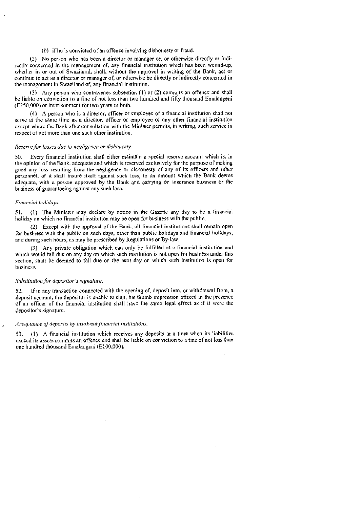(b) if he is convicted of an offence involving dishonesty or fraud.

(2) No person who has been a director or manager of, or otherwise directly or indireedy concerned in the management of. any financial institution which has been wound-up, whether in or out of Swaziland, shall, without the approval in writing of the Bank, act or continue to act as a director or manage" of or otherwise he directly or indirectly concerned in the management in Swaziland of, any financial institution.

(3) Any person who contravenes subsection (1) or (2) commits an offence and shall be liable on conviction to a fine of not less than two hundred and fifty thousand Emalangeni (E250,000) or imprisonment for two years or both.

(4) A pcrson who is a director, officer or employee of a financial institution shall not serve at the same time as a director, officer or employee of any other financial institution except where the Bank after consultation with the Minister permits. in writing, such service in respect of not more than one such other institution.

#### Reserve for losses due to negligence or dishonesty.

50. Every financial institution shall either maintain a special reserve account which is. in the opinion of the Bank, adequate and which is reserved exclusively for the purpose of making good any loss resulting from the negligence or dishonesty of any of its officers and other personnel, or it shall insure itself against such loss, to an amount which the Bank deems adequate, with a person approved by the Bank. and carrying on insurance business or the business of guaranteeing against any such loss.

#### Financial holidays.

51. (1) The Minister nay declare by notice in the Gazette any day to be a financial holiday on which no financial institution may be open for business with the public.

(2) Except with the approval of the Bank, all financial institutions shall remain open for business with the public on such days, other than public holidays and financial holidays, and during such hours, as may be prescribed by Regulations or By-law.

(3) Any private obligation which can only be fulfilled at a financial institution and which would fall due on any day on which such institution is not open for business under this section, shall be deemed to fall due on the next day on which such institution is open for business.

#### Substitution for depositor's signalure.

52. If in any transaction connected with the opening of, deposit into, or withdrawal from, a. deposit account, the depositor is unable to sign, his thumb impression affixed in the presence of an officer of the financial institution shall have the same legal effect as if it were the depositor's signature.

#### Acceptance of deposits by insolvent financial institutions.

53. (1) A financial institution which receives any deposits at a time when its liabilities exceed its assets commits an offence and shall be liable on conviction to a fine of not less than one hundred thousand Emalangeni (E100,000).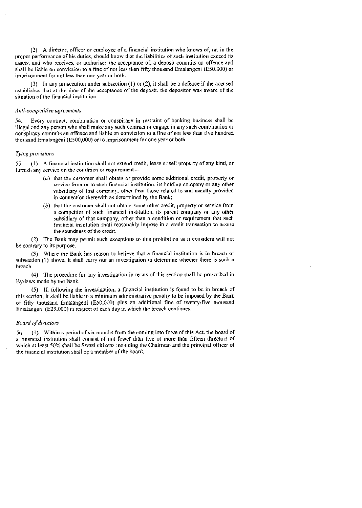(2) A director, officer or employee of a financial institution who knows of, or, in the proper performance of his duties, should know that the liabilities of such institution exceed its assets, and who receives, or arithorises the acceptance of, a deposit commits an offence and shall be liable on conviction to a fine of not iess than fifty thousand Ernalangeni (E50,000) or imprisonment for not less than one year or both.

(3) In any prosecution under subsection (1) or (2), it shall be a defence if the accused establishes that at the time of the acceptance of the deposit, the depositor was aware of the situation of the financial institution.

#### Anti-competitive agreements

54 Every contract, combination or conspiracy in restraint of banking business shall be illegal and any person who shall make any such contract or engage in any such combination or conspiracy commits an offence and liable on conviction to a fine of not less than live hundred thousand Emalangeni (E500,000) or to imprisonment for one year or hoth

#### Tying provisions

55. (1) A financial institution shall not extend credit, lease or sell property of any kind, or furnish any service on the condition or requirement

- $(a)$  that the customer shall obtain or provide some additional credit, property or service from or to such financial institution, its holding company or any other subsidiary of that company. other than those related to and usually provided in connection therewith as detennined by the Bank:
- $(b)$  that the customer shall not obtain some other credit, property or service from a competitor of such financial institution, its parent company or any other subsidiary of that company, other than a condition or requirement that such financial institution shall reasonably impose in a credit transaction to assure the soundness of the credit.

(2) The Bank may permit such exceptions to this prohibition as it considers will not be contrary to its purpose.

(3) Where the Bank has reason to believe that a financial institution is in breach of subsection (1) above, it shall carry out an investigation to determine whether there is such a breach -

(4) The procedure for any investigation in terms of this section shall be prescribed in By-laws made by the Bank,

(5) if, following the investigation, a financial institution is found to be in breach of this scction, it shall be liable to a minimum administrative penalty to be imposed by the Bank of fifty thousand Etnalangeni (E50,000) plus an additional fine of twenty-five thousand Emalangeni (E25,000) in respect of each day in which the breach continues.

#### **Board of directors**

 $56.$  (1) Within a period of six months from the coming into force of this Act, the board of a financial institution shall consist of not fewer than five or more than fifteen directors of which at least 50% shall be Swazi citizens including the Chairman and the principal officer of the financial institution shall be a member of the board.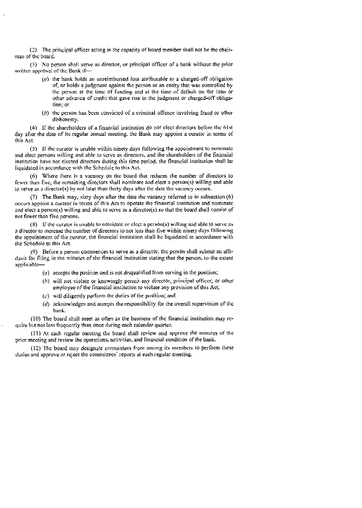$(2)$  The principal officer acting in the capacity of board member shall not be the chairman of the board.

(3) No person shall serve as director, or principal officer of a bank without the prior written approval of the Bank if—

- $(a)$  the bank holds an unreimbursed loss attributable to a charged-off obligation of, or holds a judgment against the person or an entity that was controlled by the person at the time of funding and at the time of default on the loan or other advance of credit that gave rise to the judgment or charged-off obligation; or
- (b) the person has been convicted of a criminal offence involving fraud or other dishonesty.

(4) If the shareholders of a financial institution do not elect directors before the 61st day after the date of its regular annual meeting, the Bank may appoint a curator in terms of this Act.

(5) If the curator is unable within ninety days following the appointment to nominate and elect persons willing and able to serve as directors, and the shareholders of the financial institution have not elected directors during this time period, the financial institution shall be liquidated in accordance with the Schedule to this Act.

(6) Where there is a vacancy on the board that reduces the number of directors to fewer than five, the remaining directors shall nominate and elect a person(s) willing and able to serve as a director(s) by not later than thirty days añcr the date the vacancy occurs.

(7) The Bank may, sixty days after the date the vacancy referred to in subsection (6) occurs appoint a curator in terms of this Act to operate tIle financial institution and nominate and elect a person(s) willing and able to serve as a director(s) so that the board shall consist of not fewer than five persons.

(8) If the curator is unable to nominate or elect a person(s) willing and able to serve as a director to increase the number of directors to not less than five within ninety days following the appointment of the curator, the financial institution shall be liquidated in accordance with the Schedule to this Act.

(9) Before a person commences to serve as a dircctor. the person shall submit an affidavit for tiling in the minutes of the financial institution stating that the person. to 'he extent: applicable—

- $(a)$  accepts the position and is not disqualified from serving in the position;
- $(b)$  will not violate or knowingly permit any director, principal officer, or other employee of the financial institution to violate any provision of this Act;
- (C) will diligently perform the duties of the position; and
- (d) acknowledges and accepts the responsibility for the overall supervision of the b ink.

(10) The board shall meet as often as the business of the financial institution may require but not less frequently than once during each calendar quarter.

(11) At each regular meeting the board shall review and approve the minutes of the prior meeting and review the operations, activities, and financial condition of the bank.

(12) The board may designate committees froni among its members to perform these duties and approve or reject the committees' reports at each regular meeting.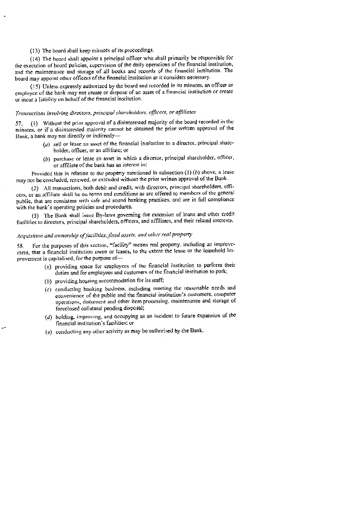## (13) The board shall keep minutes of its proceedings.

(14) The board shall appoint a principal officer who shall primarily be responsible for the execution of board policies, supervision of the daily operations of the financial institution. and the maintenance and storage of all books and records of the financial institution. The board may appoint other officers of the financial institution as it considers necessary.

(IS) Unless expressly authorized by the board and recorded in its minutes, an officer or employee of the bank may not create or dispose of an asset of a financial institution or create or incur a liability on behalfofthe financial institution.

# Transuctions involving directors, principal shareholders, officers, or affiliates

57. (t) Without the ptior approval of a disinterested majority of the board recorded in the minutes, or if a disinterested majority cannot be obtained the prior written approval of the Bank. a bank may not directly or indirectly—

- (a) sell or lease an asset of the financial institution to a director, principal shareholder. officer, or an affiliate; or
- $(b)$  purchase or lease an asset in which a director, principal shareholder, officer, or affiliate of the bank has an interest in:

Provided that in relation to the property mentioned in subsection  $(1)$  (b) above, a lease may not be coneludcd, renewed, or extended without the prior written approval of the Bank.

(2) All transactions, both debit and credit, with directors, principal shareholders, offieers, or an affiliate shall be on terms and conditions as are offered to members of the general public, that arc consistent with safe and sound banking practices. and are in full compliance with the bank's operating policies and procedures.

(3) The Bank shall issue By-laws governing the extension of loans and other credit facilities to directors, principal shareholders, officers, and affiliates, and their related interests.

# Acquisition and ownership of facilities, fixed assets, and other real property

58. For the purposes of this section, "facility" means real property, including an improve' inent, that a financial institution owns or leases, to the extent the lease or the leaschold improvement is capitalised, for the purpose of—

- (a) providing space for employees of the financial institution to perfonn their duties and for employees and customers of the financial institution to park;
- (b) providing housing accommodation for its staff;
- (C) conducting banking business, including meeting the reasonable needs and convenience of the public and the financial institution's customers, computer operations, document anti other item processing, maintenance and storage of foreclosed collateral pending disposal;
- (d) holding. improving, and occupying as an incident to future expansion of the financial institution's facilities; or
- $(c)$  conducting any other activity as may be authorised by the Bank.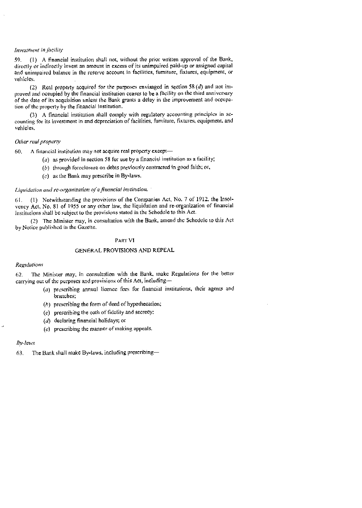### Investment in facility

59. (1) A financial institution shall not, without the prior written approval of the Bank, directly or indirectly invest an amount in excess of its unimpaired paid-up or assigned capital and unimpaired balance in the reserve account in facilities, furniture, fixtures, equipment, or vehicles.

(2) Real property acquired for the purposes envisaged in section 58  $(d)$  and not improved and occupied by the financial institution ceases to be a facility on the third anniversary of the date of its acquisition unless (he Bank grants a delay in the improvement and occupation of the property by the financial institution.

(3) A financial institution shall comply with regulatory accounting principles in accounting for its investment in and depreciation of facilities, furniture, fixtures, equipment, and vehicles.

#### Oilier real property

60. A financial institution may not acquire real property except—

- (a) as provided in section 58 for use by a financial institution as a facility;
- $(b)$  through foreclosure on debts previously contracted in good faith; or,
- $(c)$  as the Bank may prescribe in By-laws.

#### Liquidation and re-organization of a financial institution.

61- (I) Notwithstanding the provisions of the Companies Act, No. 7 of 1912. the Insolvency Act. No. 81 of 1955 or any other law, the liquidation and re-organization of financial institutions shall be subject to the provisions stated in the Schedule to this Act.

(2) The Minister may. in consultation with the Bank. amend the Schedule to this Act by Notice published in the Gazette.

#### PART VI

#### GENERAL PROVISIONS AND REPEAL

#### Regulations

62 The Minister may. in consultation with the Bank, make Regulations for the better carrying out of the purposes and provisions of this Act, including—-

- (a) prescribing annual licence fees for financial institutions, their agents and branches;
- $(h)$  prescribing the form of deed of hypothecation;
- $(c)$  prescribing the oath of fidelity and secrecy:
- (d) declaring financial holidays; or
- $(c)$  prescribing the manner of making appeals.

#### $By-laws$

63. The Bank shall make By-laws, including prescribing—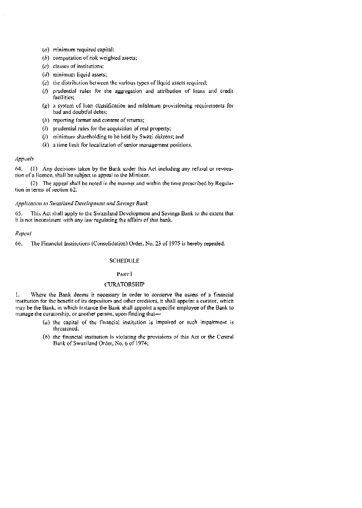- $(a)$  minimum required capital;
- $(b)$  computation of risk weighted assets;
- $(c)$  classes of institutions;
- $(d)$  minimum liquid assets;
- $(c)$  the distribution between the various types of liquid assets required;
- (/) prudential Ivies for the aggregation and attribution of loans and credit facilities;
- (.g) a system of loan classification and minimum provisioning requiretnents for had and doubtful debts;
- $(h)$  reporting format and content of returns;
- $(i)$  prudential rules for the acquisition of real property;
- (/) minimum shareholding to he held by Swazi citizens; and
- $(k)$  a time limit for localization of senior management positions.

## Appeals

64. (I) Any decisions taken by the Bank under this Act including any refusal or revocation of a licence, shall be subject to appeal to the Minister.

(2) The appeal shall be noted in the manner and within the time prescribed by Regulation in terms of section 62.

## Application to Swaziland Development and Savings Bank

65. This Act shall apply to the Swaziland Development and Savings Bank to the extent that it is not inconsistent with any law regulating the affairs of that bank.

#### Repeal

66. The Financial Institutions (Consolidation) Order. No. 23 of 1975 is hereby repealed.

#### SCHEDULE

#### PART<sup>1</sup>

## **CURATORSHIP**

1. Where the Bank deems it necessary in order to conserve the assets of a financial institution for the benefit of its depositors and other creditors, it shall appoint a curator, which may he the Bank in which instance the Bank shall appoint a specific employee ofthe Bank to manage the curatorship, or another person, upon finding that-

- $(a)$  the capital of the financial institution is impaired or such impairment is threatened;
- $(b)$  the financial institution is violating the provisions of this Act or the Central Bank of Swaziland Order, No. 6 of 1974;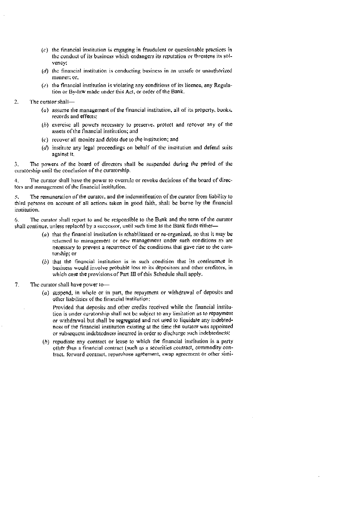- $(c)$  the financial institution is engaging in fraudulent or questionable practices in thc conduct of its business which endangers its reputation or threatens its solvency;
- $(d)$  the financial institution is conducting business in an unsafe or unauthorized manner; or,
- $(c)$  the financial institution is violating any conditions of its licence, any Regulation or By-law made under this Act, or order of the Bank.
- 2. The curator shall—
	- $(a)$  assume the management of the financial institution, all of its property, books, records and effects;
	- (b) exercise all powers necessary to preserve, protect and recover any of the assets of the financial institution; and
	- (C') recover all monies and debts due to the institution: and
	- $(d)$  institute any legal proceedings on behalf of the institution and defend suits against it.

3, The powers of the board of directors shall be suspended during the period of the curatorship until the conclusion of the curatorship.

4. The curator shall have the power to overnile or revoke decisions of the board of direetors and management of the financial institution.

 $5.$  The remuneration of the curator, and the indemnification of the curator from liability to third persons on account of all actions taken in good faith, shall be borne by the financial institution.

6. The curator shall report to and be responsible to the Bank and the term of the curator shall continue, unless replaced by a successor, until such time as the Bank finds either—

- $(a)$  that the financial institution is rehabilitated or re-organized, so that it may be returned to management or new management under such conditions as are necessary to prevent a recurrence of the conditions that gave rise to the curatorship; or
- $(b)$  that the financial institution is in such condition that its continuance in business would involve probable loss to its depositors and other creditors, in which case the provisions of Part III of this Schedule shall apply.
- 7. The curator shall have power to-
	- $(a)$  suspend, in whole or in part, the repayment or withdrawal of deposits and other liabilities of the financial institution:

Provided that deposits and other credits received while the financial institution is under curatorship shall not be subject to any limitation as to repayment or withdrawal but shall be segregated and not used to liquidate any indebtedness of the financial institution existing at the time the curator was appointed or subsequent indebtedness incurred in order to discharge such indebtcdncss

(h) repudiate any contract or lease to which the financial institution is a party other than a financial contract (such as a securities contract, commodity contract, forward contract, repurchase agreement, swap agreement or other simi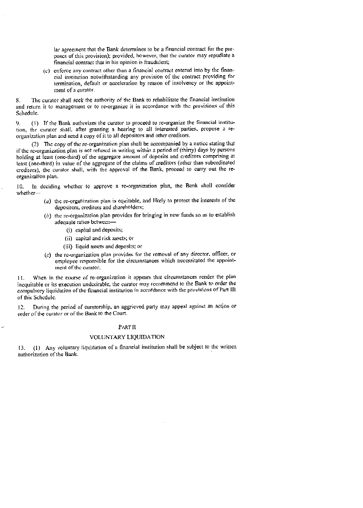ar agreement that the Bank determines to be a financial contract for the purposes of this provision); provided, however, that the curator may repudiate a financial contract that in his opinion is fraudulent;

 $(c)$  enforce any contract other than a financial contract entered into by the financial institution notwithstanding any provision of the contract providing for termination, default or acceleration by reason of insolvency or the appointinent of a curator.

8. The curator shall seek the authority of the Bank to rehabilitate the financial institution and return it to management or to re-organize it in accordance with the provisions of this Schedule.

9, (I) If the Bank authorizes (he curator to proceed to re-organize the financial institution, the curator shall, after granting a hearing to all interested panics, propose a reorganization plan and send a copy of it to all depositors and other creditors.

(2) The copy of the re-organization plan shall be accompanied by a notice stating that if the re-organization plan is not refused in writing within a period of (thirty) days by persons holding at least (one-third) of the aggregate amount of deposits and creditors comprising at least (one-third) in value of the aggregate of the claims of creditors (other than subordinated creditors), the curator shall, with the approval of the Bank, proceed to carry out the reorganization plan.

10. In deciding whether to approve a ic-organization plan, the Bank shall consider whether

- $(a)$  the re-organization plan is equitable, and likely to protect the interests of the depositors, creditors and shareholders;
- $(b)$  the re-organization plan provides for bringing in new funds so as to establish adequate ratios between—
	- (1) capital and deposits;
	- (ii) capital and risk assets; or
	- (iii) liquid assets and deposits; or
- $(c)$  the re-organization plan provides for the removal of any director, officer, or employee responsible for the circumstances which necessitated the appointment of the curator.

I.. When in the course of re-organization it appears that circumstances render the plan inequitable or its execution undesirable, the curator may recommend to the Bank to order the compulsory liquidation of the financial institution in accordance with the provisions of Part iTt of this Schedule.

12. During the period of curatorship, an aggrieved party may appeal against an action or order of the curator or of the Bank to the Court.

# PART II

#### VOLUN'IARY LIQUIDATION

13. (1) Any voluntary liquidation of a financial institution shall be subject to the written authorization of the Bank.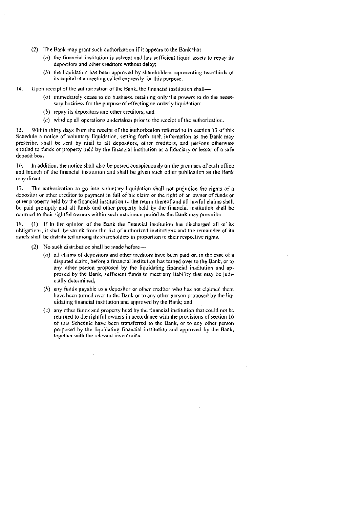- (2) The Bank. may grant such authorization if it appears to the Bank that—
	- $(a)$  the financial institution is solvent and has sufficient liquid assets to repay its depositors and other creditors without delay;
	- $(b)$  the liquidation has been approved by shareholders representing two-thirds of its capital at a meeting called expressly for this purpose.

14. Upon receipt of the authorization of the Bank, the financial institution shall—

- $(a)$  immediately cease to do business, retaining only the powers to do the necessary business for the purpose of effecting an orderly liquidation:
- $(b)$  repay its depositors and other creditors; and
- $(c)$  wind up all operations undertaken prior to the receipt of the authorization.

5. Within thirty days from the receipt ol' the authorization referred to in section 13 of this Schedule a notice of voluntary liquidation, setting forth such information as the Bank may prescribe, shall be sent by mail to all depositors, other creditors, and pérsons otherwise entitled to funds or property held by the financial institution as a fiduciary or lessor of a safe deposit box.

16. In addition, the notice shall also be posted conspicuously on the premises of each office and branch of the financial institution and shall be given such other publication as the Bank may direct.

17. The authorization to go into voluntary liquidation shall not prejudice the rights of a depositor or other creditor to payment in full of his claim or the right of an owner of funds or other property held by the financial institution to the return thereof and all lawful claims shall be paid promptly and all funds and other property held by the financial institution shall be returned to their rightful owners within such maximum period as the Bank may prescribe.

 $(1)$  If in the opinion of the Bank the financial institution has discharged all of its obligations, it shall be struck from the list of authorized institutions and the remainder of its assets shall he distributed among its shareholders in proportion to their respective rights.

- $(2)$  No such distribution shall be made before—.
	- $(a)$  all claims of depositors and other creditors have been paid or, in the case of a disputed claim, before a financial institution has turned over to the Bank, or to any other person proposed by the liquidating financial institution and approved by the Bank, sufficient funds to meet any liability that may be judicially determined;
	- $(b)$  any funds payable to a depositor or other creditor who has not claimed them have been turned over to the Bank or to any other person proposed by the liquidating financial institution and approved by the Bank; and
	- $(c)$  any other funds and property held by the financial institution that could not be returned to the rightful owners in accordance with the provisions of section 16 of this Schedule have been transferred to the Bank, or to any other person proposed by the liquidating tinancial institution and approved by the Bank, togcthcr with the relevant inventories.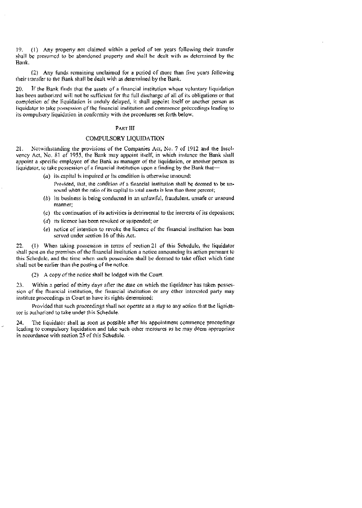19. (1) Any properly not claimed within a period of ten years following their transfer shall be presumed to he abandoned property and shall he dealt with as determined by the Bank.

(2) Any funds remaining unclaimed for a period of more than five years following their transfer to the Bank shall be dealt with as determined by the Bank.

20. If the Bank finds that the assets of a financial institution whose voluntary liquidation has been authorized will not be sufficient for the full discharge of all of its obligations or that completion of the liquidation is unduly delayed, it shall appoint itself or another person as liquidator to take possession of the financial institution and commence proceedings leading to its compulsory liquidation in conformity with the procedures set forth below.

#### PARt' Ill

# COMPULSORY LIQUIDATION

21. Notwithstanding the provisions of the Companies Act, No. 7 of 1912 and the Insolvency Act, No. 81 of 1955, the Bank may appoint itself, in which instance the Bank shall appoint a specific employee of the Bank as manager of the liquidation, or aaother person as liquidator, to take possession of a financial institution upon a finding by the Bank that—

 $(a)$  its capital is impaired or its condition is otherwise unsound:

Provided, that, the condition of a financial institution shall be deemed to be unsound when the ratio of its capital to total assets is less than three percent;

- (b) its business is being conducted in an unlawful, fraudulent, unsafe or unsound manner;
- $(c)$  the continuation of its activities is detrimental to the interests of its depositors;
- $(d)$  its licence has been revoked or suspended; or
- $(e)$  notice of intention to revoke the licence of the financial institution has been served under section 16 of this Act.

22. (I) When taking possession in terms of section 21 of this Schedule, the liquidator shall post on the premises of the financial institution a notice announcing its action pursuant to this Schedule, and the time when such possession shall be deemed to take effect which time shall not be earlier than the posting of the notice,

(2) A copy ot'the notice shall he lodged with the Court.

23. Within a period of thirty days after the date on which the liquidator has taken possession of the financial institution, the financial institution or any other interested party may institute proceedings in Court to have its rights determined:

Provided that such proceedings shall not operate as a stay to any action that the liquidator is authorized to take under this Schedule.

24. The liquidator shalt as soon as possible after his appointment commence proceedings leading to compulsory liquidation and take such other measures as he may deem appropriate in accordance with section 25 of this Schedule.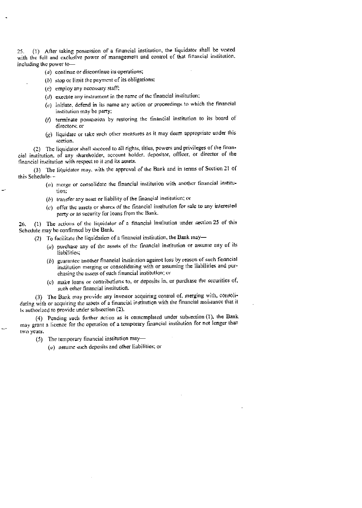25. (1) Alter taking possession of a financial institution, the liquidator shalt he vested with the full and exclusive power of management and control of that financial institution. including the power t

- (a) continue or discontinue its operations;
- $(b)$  stop or limit the payment of its obligations;
- $(c)$  employ any necessary staff;
- $(d)$  exectite any instrument in the name of the financial institution;
- $(e)$  initiate, defend in its name any action or proceedings to which the financial institution may be party;
- (/) terminate possession by restoring the financial institution to its board of directors; or
- $(g)$  liquidate or take such other measures as it may deem appropriate under this section.

(2) The liquidator shall succeed to all rights, titles, powers and privileges of the financial institution, of any shareholder, account holder, depositor, officer, or director of the financial institution with respect to it and its assets.

(3) The liquidator may. with the approval of the Bank and in terms of Section 21 of this Schedule-—

- (a) merge or consolidate the financial institution with another financial institution:
- $(b)$  transfer any asset or liability of the financial institution; or
- $(c)$  offer the assets or shares of the financial institution for sale to any interested party or as security for loans from the Bank.

26, (1) The actions of the liquidator of a financial institution under section 25 of this Schedule may he confinned by the Bank.

- (2) To facilitate the liquidation of a financial institution, the Bank may—
	- $(a)$  purchase any of the assets of the financial institution or assume any of its liabilities;
	- $(b)$  guarantee another financial institution against loss by reason of such fittancial institution merging or consolidating with or assuming the liabilities and purchasing the assets of such financial institution; or
	- (C) make loans or contributions to, or deposits in or purchase the securities of, such other financial institution.

(3) The Bank may provide atty investor acquiring control of, merging with, consolidating with or acquiring the assets of a financial institution with the financial assistance that it is authorized to provide under subsection (2).

(4) Pending such further action as is contemplated under subsection (1). the Bank may grant a licence for the operation of a temporary financial institution for not longer than two years.

 $(5)$  The temporary financial institution may—

 $(a)$  assume such deposits and other liabilities; or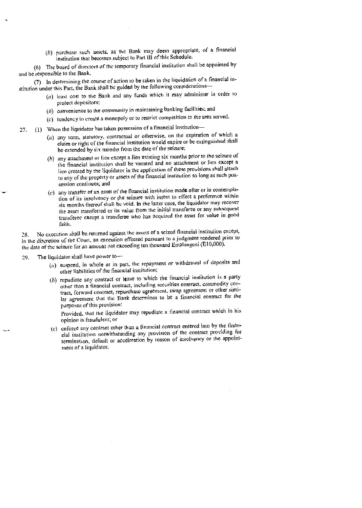$(b)$  purchase such assets, as the Bank may deem appropriate, of a financial institution that becomes subject to Part III of this Schedule.

(6) The board of directors of the temporary financial institution shall be appointed by and be responsible to the Bank.

(7) in determining the course of action to be taken in the liquidation of a financial institution under this Part, the Bank shall he guided by the following considerations—

- (a) least cost to the Bank and any funds which it may administer in order to protect depositors:
- (b) convenience to the community in maintaining banking facilities; and
- $(c)$  tendency to create a monopoly or to restrict competition in the area served.
- 27. (1) When the liquidator has taken possession of a financial institution-
	- $(a)$  any term, statutory, contractual or otherwise, on the expiration of which a claim or right of' the financial institution would expire or be extinguished shall be extended by six months from the date of the seizure;
	- $(h)$  any attachment or lien except a lien existing six months prior to the seizure of the financial institution shall be vacated and no attachment or lien except a lien created by the liquidator in the application of these provisions shall attach to any of the property or assets of' the financial institution so long as such possession continues; and
	- $(c)$  any transfer of an asset of the financial institution made after or in contemplation of its insolvency or the seizure with intent to effect a preference within six months thereof shall be void. in the latter ease, the liquidator may recover the asset transferred or its value from the initial transferee or any subsequent transferee except a transferee who has acquired the asset for value in good faith.

28. No execution shall he returned against the assets of a seized financial institution except, in the discretion of the Court, an execution effected pursuant to a judgment rendered prior to the date of the seizure for an amount not exceeding ten thousand Emalangeni (E10,000).

29. The liquidator shall have power to—

- $(a)$  suspend, in whole or in part, the repayment or withdrawal of deposits and other liabilities of the financial institution;
- $(b)$  repudiate any contract or lease to which the financial institution is a party other than a financial contract, including securities contract. eomnodity contract, forward contract, repurchase agreement, swap agreement or other similar agreement that the Bank determines to be a financial contract for the purposes of this provision:

provided, that the liquidator may repudiate a financial contract which in his opinion is fraudulent; or

 $(c)$  enforce any contract other than a financial contract entered into by the tinancial institution notwithstanding any provision of rhe contract providing for termination, default or acceleration by reason of insolvency or the appointment of a liquidator.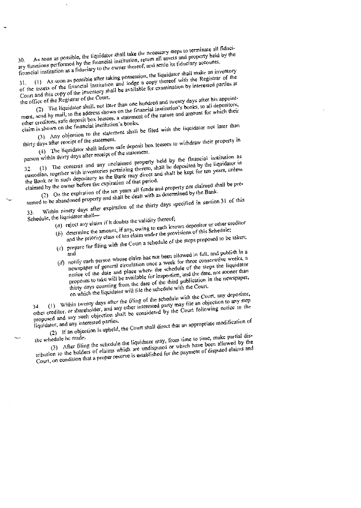30. As soon as possible, the liquidator shall take the necessary steps to terminate and property of the ary functions performed by the financial institution, return all assets and property held by the ary functions perform As soon as possible, the liquidator shall take the necessary steps to terminate all fiducifinancial institution as a fiduciary to the owner thereof, and settle its fiduciary accounts.

 $31.$  (1) As soon as possible after taking possession, the right-<br>of the assets of the financial institution and lodge a copy thereof with the Registrar of the<br>of the assets of the financial institution and logger a copy (1) As soon as possible after taking possession, the liquidator shall make an inventory Court and this copy of the inventory shall be available for examination by interested parties at

the office of the Registrar of the Court. (2) The liquidator shall, not later than one hundred and twenty days after his appoint-(2) The liquidator shall, not later than one namely institution's books, to all depositors,<br>send by mail, to the address shown on the financial institution's books, to all depositors,  $c_1$  and  $c_2$  is the nature shown on the tinaneial institution.<br>
other ereditors, safe deposit box lessees, a statement of the nature and amount for which their<br>
other ereditors, safe deposit box lessees, a statement of ment, send h

extrols. Such the financial institution's books.<br>
(3) Any objection to the statement shall be filed with the liquidator not later than<br>
(3) Any objection to measure claim is shown on the financial institution's books.

days after receipt of the statement.<br>
(4) The liquidator shall inform safe deposit box lessees to withdraw their property in<br>
(4) The liquidator she statement. thirty days after receipt of the statement.

person within thirty days after receipt of the statement <sup>32</sup> (I) The contents and any unclaimed property held by the ftnaneinl institution as custodian, together with inventories pertaining thereto, shall be deposited by the liquidator in

the Bank or in such depository as the Bank may direct and shall be kept for ten years, unless<br>the Bank or in such depository as the Bank may direct and shall be kept. for ten years, unless<br>the Bank or in such a space the e claimed by the owner before the expiration of that period.

 $\frac{d}{d}$  by the owner before the expiration of the ten years all funds and property not claimed shall be pre-<br>(2) On the expiration of the ten years all funds and property not claimed by the Bank. sumed to be abandoned property and shall be dealt with as determined by the Bank.

sumed to be abandoned property and share  $\frac{1}{2}$  of the thirty days specified in section 31 of this 33. Within ninety days after expiration of the thirty days specified in section 31 of this

- Schedule, the liquidator shall— $(a)$  reject any claim if it doubts the validity thereof; (a) reject any claim if it doubts the validity thereof;<br>(a) reject any claim if it doubts the validity thereof;<br>(b) determine the amount, if any, owing to each known depositor or other creditor;
	- and the priority class of his claim under the provisions of this Schedule; (C) prepare for filing with the Court a schedule of the steps proposed to be taken;
	- and and and<br>
	(d) notify each person whose claim has not been allowed in full, and publish in a<br>
	(d) notify each person whose claim has not been allowed the consecutive weeks, a
	- notify each person whose claim has not been anowed in consecutive weeks, a<br>newspaper of general circulation once a week for three consecutive liquidator notice of the date and place where the schedule of the steps the liquidator proposes to take will be available for inspection, and the date, not sooner than the proposes to take will be available for inspection, and publication in the newspaper,<br>thirty days counting from the date of the third publication in the newspaper,<br>thirty days counting from the date of the schedule with

on which the liquidator will file the schedule with the Court.<br>(1) Within twenty days after the filing of the schedule with the Court, any depositor,  $34.$  (1) Within twenty days after the tiling of the schedule with the Court, any depositor,<br> $34.$  (1) Within twenty days after the tiling of the schedule with the Court, any depositor,  $(34.$  (1) Within twenty days after the filing or the school of the an objection to any step<br>other ereditor, or shareholder, and any other interested party may file an objection to any step<br>other ereditor, or shareholder, proposed and any such objection shall be considered by the Court following notice to the

liquidator, and any interested parties. (2) If an objection is upheld, the Court shall direct that an appropriate modification of<br>the schedule he made.

(3) After filing the schedule the liquidator may, from time to time, make partial dis-

the schedule be made.<br>
(3) After filing the schedule the liquidator may, from time to time, make partial disputed by the<br>
tribution to the holders of claims which are undisputed or which have been allowed by the<br>
tribution count, on condition that a proper reserve is established for the payment of disputed claims and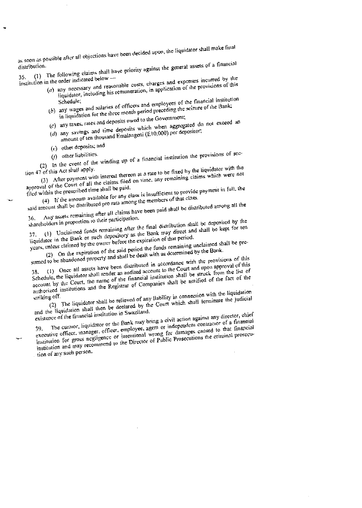as soon as possible after all objections have been decided upon, the liquidator shall make final<br>distribution.

distribution.<br>35. (1) The following claims shall have priority against the general assets of a financial<br>35. (1) The state indicated below  $-\pi$ 

- institution in the order indicated below  $-\pi$ <br>(a) any necessary and reasonable costs, charges and expenses incurred by the<br>(a) any necessary and reasonable costs, charges and expenses of this over the constant and reasonable costs, charges and exponses increasing of this any necessary and reasonable costs, including his remuneration, in application of the provisions of this
	- Schedule; Schedule;<br>(b) any wages and salaries of officers and employees of the financial institution<br>(b) any wages and salaries of officers and preceding the seizure of the Bank;  $\sum$  in liquidation for the three month period preceding the seizure of the Bank:<br>(c) any taxes, rates and deposits owed to the Government;
		-
	- (c) any taxes, rates and deposits owed to the Government;<br>
	(c) any taxes, rates and time deposits which when aggregated do not exceed an<br>
	(d) any savings and time deposits which when aggregated do not exceed an
	- amount of ten thousand Emalangeni (E10,000) per depositor;
	- (e) other deposits; and
	-

(*f*) other liabilities.<br>(2) In the event of the winding up of a financial institution the provisions of sec-<br>(2) In the event of the winding up of a financial institution the provisions of sec-

tion 47 of this Act shall apply.  $(3)$  After payment with  $\frac{1}{2}$ dy.<br>with interest thereon at a rate to be fixed by the liquidator with the  $(3)$  After payment with linear filed on time, any remaining claims  $(3)$  approval of the Court of all the claims filed on time, any remaining claims claims which were not

filed within the prescribed time shall be paid. at by the crescribed time shall be paid.<br>(4) It the amoum available for any class is insufficient to provide payment in full, the<br>(4) It the amoum available for any class is insufficient to provide payment in full, the the members of that class.

said amount shall be distributed pro rata among the members of that class. said amount shall be distributed pro radi allows.<br>36. Any assets remaining after all claims have been paid shall be distributed among all the<br>36. Any assets remaining their participation.

shareholders in proportion to their participation.<br>37. (1) Unclaimed funds remaining after the final distribution shall be deposited by the<br>37. (1) Unclaimed funds remaining after the Bank may direct and shall be kept for  $\frac{1}{37}$ . (1) Unclaimed funds remaining after the final distribution shall be kept for ten<br>the expiration in the Bank or such depository as the Bank may direct and shall be kept for ten<br>the expiration of that period.

years, unless claimed by the owner before the expiration of that period. (2) On the expiration of the said period the funds remaining unclaimed shall be pre-

stituted to be abandoned property and shall be dealt with as determined by the Bank. (1) Once all assets have been distributed in accordance with the provisions of this Schedule, the liquidator shall render an audited account to the Court and upon approval of this account by the Court, the name of the financial institution shall be struck from the list of authorized institutions and the Registrar of Companies shall be notified of the fact of the striking off.

striking off- (2) The liquidator shall be relieved of any liability in connection with the liquidation and the liquidator shall be relieved of any namely in some shall terminate the judicial<br>and the liquidation shall then be declared by the Court which shall terminate the judicial

existence of the financial institution in Swaziland. The curator, liquidator or the Bank may bring a civil action against any director, chief 39. The curator, inquidator of the employee, agem or independent contained to the executive officer, manager, officer, employee, agem or independent contained  $_{\rm contractor}$  of a financial  $\frac{1}{1}$  institution for gross negligence or intent intentional wrong for damages caused in caused to that financial institution and may recommend to the Director of Public Prosecutions the criminal prosecu-

tion of any such person.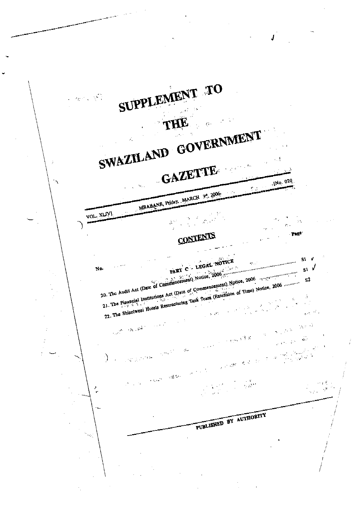